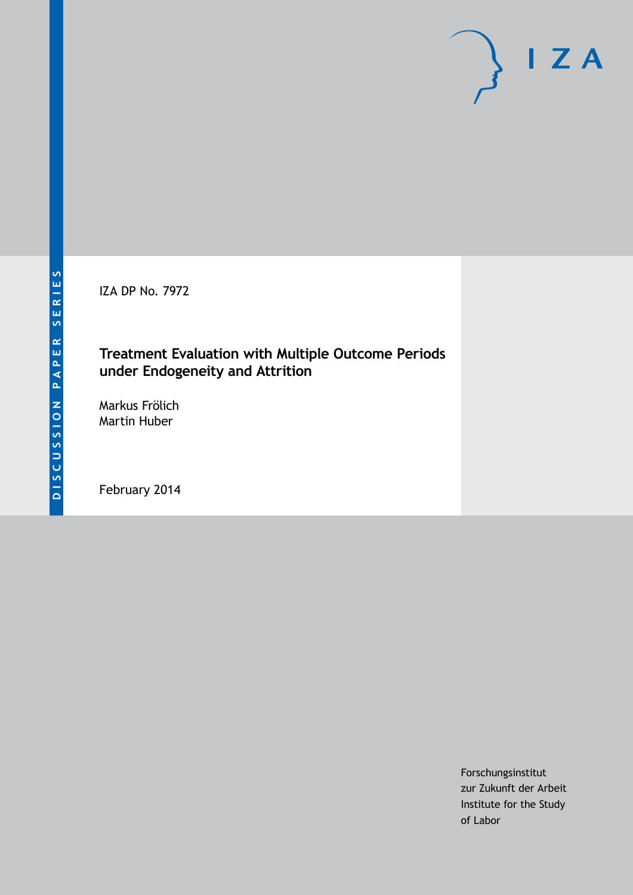IZA DP No. 7972

# **Treatment Evaluation with Multiple Outcome Periods under Endogeneity and Attrition**

Markus Frölich Martin Huber

February 2014

Forschungsinstitut zur Zukunft der Arbeit Institute for the Study of Labor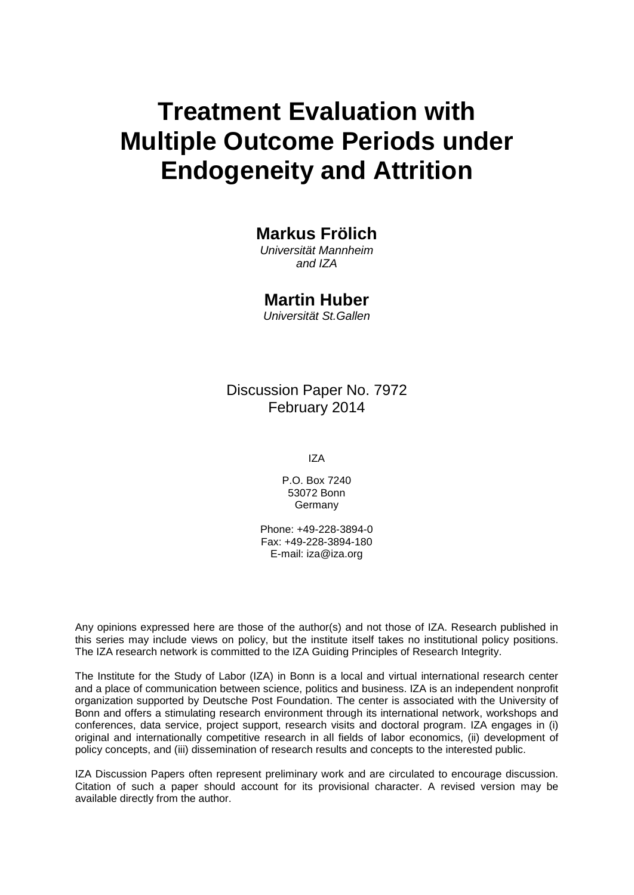# **Treatment Evaluation with Multiple Outcome Periods under Endogeneity and Attrition**

# **Markus Frölich**

*Universität Mannheim and IZA*

# **Martin Huber**

*Universität St.Gallen*

# Discussion Paper No. 7972 February 2014

IZA

P.O. Box 7240 53072 Bonn **Germany** 

Phone: +49-228-3894-0 Fax: +49-228-3894-180 E-mail: [iza@iza.org](mailto:iza@iza.org)

Any opinions expressed here are those of the author(s) and not those of IZA. Research published in this series may include views on policy, but the institute itself takes no institutional policy positions. The IZA research network is committed to the IZA Guiding Principles of Research Integrity.

The Institute for the Study of Labor (IZA) in Bonn is a local and virtual international research center and a place of communication between science, politics and business. IZA is an independent nonprofit organization supported by Deutsche Post Foundation. The center is associated with the University of Bonn and offers a stimulating research environment through its international network, workshops and conferences, data service, project support, research visits and doctoral program. IZA engages in (i) original and internationally competitive research in all fields of labor economics, (ii) development of policy concepts, and (iii) dissemination of research results and concepts to the interested public.

<span id="page-1-0"></span>IZA Discussion Papers often represent preliminary work and are circulated to encourage discussion. Citation of such a paper should account for its provisional character. A revised version may be available directly from the author.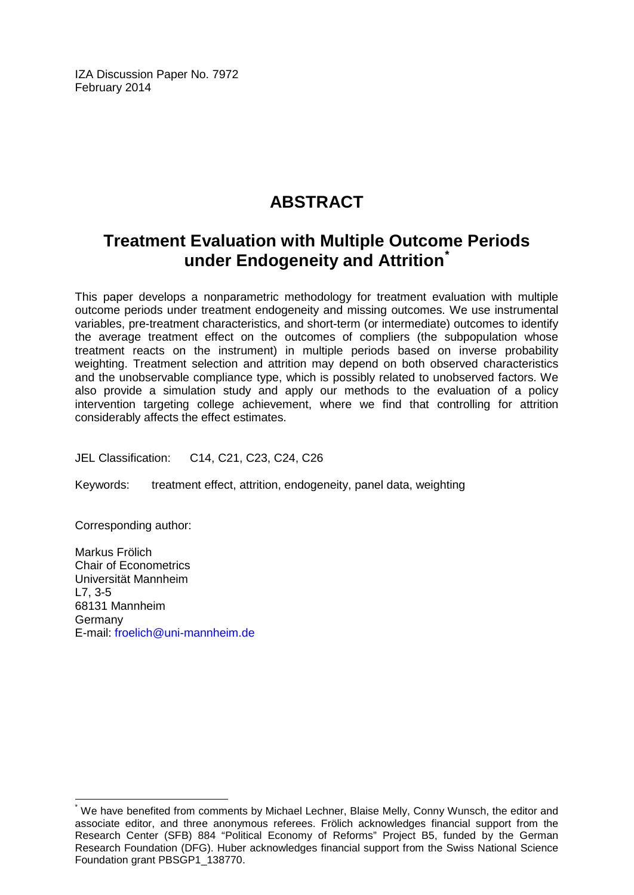IZA Discussion Paper No. 7972 February 2014

# **ABSTRACT**

# **Treatment Evaluation with Multiple Outcome Periods under Endogeneity and Attrition[\\*](#page-1-0)**

This paper develops a nonparametric methodology for treatment evaluation with multiple outcome periods under treatment endogeneity and missing outcomes. We use instrumental variables, pre-treatment characteristics, and short-term (or intermediate) outcomes to identify the average treatment effect on the outcomes of compliers (the subpopulation whose treatment reacts on the instrument) in multiple periods based on inverse probability weighting. Treatment selection and attrition may depend on both observed characteristics and the unobservable compliance type, which is possibly related to unobserved factors. We also provide a simulation study and apply our methods to the evaluation of a policy intervention targeting college achievement, where we find that controlling for attrition considerably affects the effect estimates.

JEL Classification: C14, C21, C23, C24, C26

Keywords: treatment effect, attrition, endogeneity, panel data, weighting

Corresponding author:

Markus Frölich Chair of Econometrics Universität Mannheim L7, 3-5 68131 Mannheim Germany E-mail: [froelich@uni-mannheim.de](mailto:froelich@uni-mannheim.de)

We have benefited from comments by Michael Lechner, Blaise Melly, Conny Wunsch, the editor and associate editor, and three anonymous referees. Frölich acknowledges financial support from the Research Center (SFB) 884 "Political Economy of Reforms" Project B5, funded by the German Research Foundation (DFG). Huber acknowledges financial support from the Swiss National Science Foundation grant PBSGP1\_138770.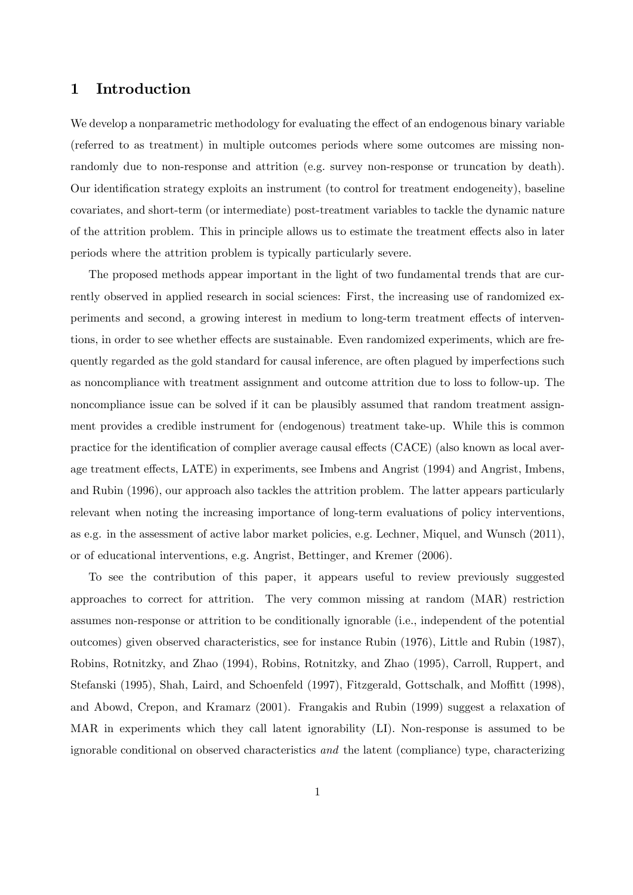### 1 Introduction

We develop a nonparametric methodology for evaluating the effect of an endogenous binary variable (referred to as treatment) in multiple outcomes periods where some outcomes are missing nonrandomly due to non-response and attrition (e.g. survey non-response or truncation by death). Our identification strategy exploits an instrument (to control for treatment endogeneity), baseline covariates, and short-term (or intermediate) post-treatment variables to tackle the dynamic nature of the attrition problem. This in principle allows us to estimate the treatment effects also in later periods where the attrition problem is typically particularly severe.

The proposed methods appear important in the light of two fundamental trends that are currently observed in applied research in social sciences: First, the increasing use of randomized experiments and second, a growing interest in medium to long-term treatment effects of interventions, in order to see whether effects are sustainable. Even randomized experiments, which are frequently regarded as the gold standard for causal inference, are often plagued by imperfections such as noncompliance with treatment assignment and outcome attrition due to loss to follow-up. The noncompliance issue can be solved if it can be plausibly assumed that random treatment assignment provides a credible instrument for (endogenous) treatment take-up. While this is common practice for the identification of complier average causal effects (CACE) (also known as local average treatment effects, LATE) in experiments, see Imbens and Angrist (1994) and Angrist, Imbens, and Rubin (1996), our approach also tackles the attrition problem. The latter appears particularly relevant when noting the increasing importance of long-term evaluations of policy interventions, as e.g. in the assessment of active labor market policies, e.g. Lechner, Miquel, and Wunsch (2011), or of educational interventions, e.g. Angrist, Bettinger, and Kremer (2006).

To see the contribution of this paper, it appears useful to review previously suggested approaches to correct for attrition. The very common missing at random (MAR) restriction assumes non-response or attrition to be conditionally ignorable (i.e., independent of the potential outcomes) given observed characteristics, see for instance Rubin (1976), Little and Rubin (1987), Robins, Rotnitzky, and Zhao (1994), Robins, Rotnitzky, and Zhao (1995), Carroll, Ruppert, and Stefanski (1995), Shah, Laird, and Schoenfeld (1997), Fitzgerald, Gottschalk, and Moffitt (1998), and Abowd, Crepon, and Kramarz (2001). Frangakis and Rubin (1999) suggest a relaxation of MAR in experiments which they call latent ignorability (LI). Non-response is assumed to be ignorable conditional on observed characteristics and the latent (compliance) type, characterizing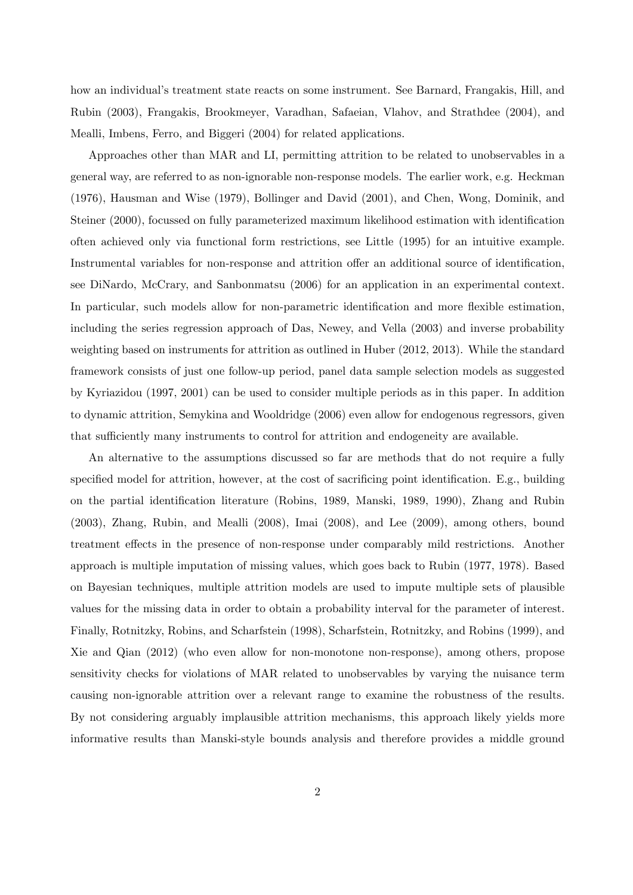how an individual's treatment state reacts on some instrument. See Barnard, Frangakis, Hill, and Rubin (2003), Frangakis, Brookmeyer, Varadhan, Safaeian, Vlahov, and Strathdee (2004), and Mealli, Imbens, Ferro, and Biggeri (2004) for related applications.

Approaches other than MAR and LI, permitting attrition to be related to unobservables in a general way, are referred to as non-ignorable non-response models. The earlier work, e.g. Heckman (1976), Hausman and Wise (1979), Bollinger and David (2001), and Chen, Wong, Dominik, and Steiner (2000), focussed on fully parameterized maximum likelihood estimation with identification often achieved only via functional form restrictions, see Little (1995) for an intuitive example. Instrumental variables for non-response and attrition offer an additional source of identification, see DiNardo, McCrary, and Sanbonmatsu (2006) for an application in an experimental context. In particular, such models allow for non-parametric identification and more flexible estimation, including the series regression approach of Das, Newey, and Vella (2003) and inverse probability weighting based on instruments for attrition as outlined in Huber (2012, 2013). While the standard framework consists of just one follow-up period, panel data sample selection models as suggested by Kyriazidou (1997, 2001) can be used to consider multiple periods as in this paper. In addition to dynamic attrition, Semykina and Wooldridge (2006) even allow for endogenous regressors, given that sufficiently many instruments to control for attrition and endogeneity are available.

An alternative to the assumptions discussed so far are methods that do not require a fully specified model for attrition, however, at the cost of sacrificing point identification. E.g., building on the partial identification literature (Robins, 1989, Manski, 1989, 1990), Zhang and Rubin (2003), Zhang, Rubin, and Mealli (2008), Imai (2008), and Lee (2009), among others, bound treatment effects in the presence of non-response under comparably mild restrictions. Another approach is multiple imputation of missing values, which goes back to Rubin (1977, 1978). Based on Bayesian techniques, multiple attrition models are used to impute multiple sets of plausible values for the missing data in order to obtain a probability interval for the parameter of interest. Finally, Rotnitzky, Robins, and Scharfstein (1998), Scharfstein, Rotnitzky, and Robins (1999), and Xie and Qian (2012) (who even allow for non-monotone non-response), among others, propose sensitivity checks for violations of MAR related to unobservables by varying the nuisance term causing non-ignorable attrition over a relevant range to examine the robustness of the results. By not considering arguably implausible attrition mechanisms, this approach likely yields more informative results than Manski-style bounds analysis and therefore provides a middle ground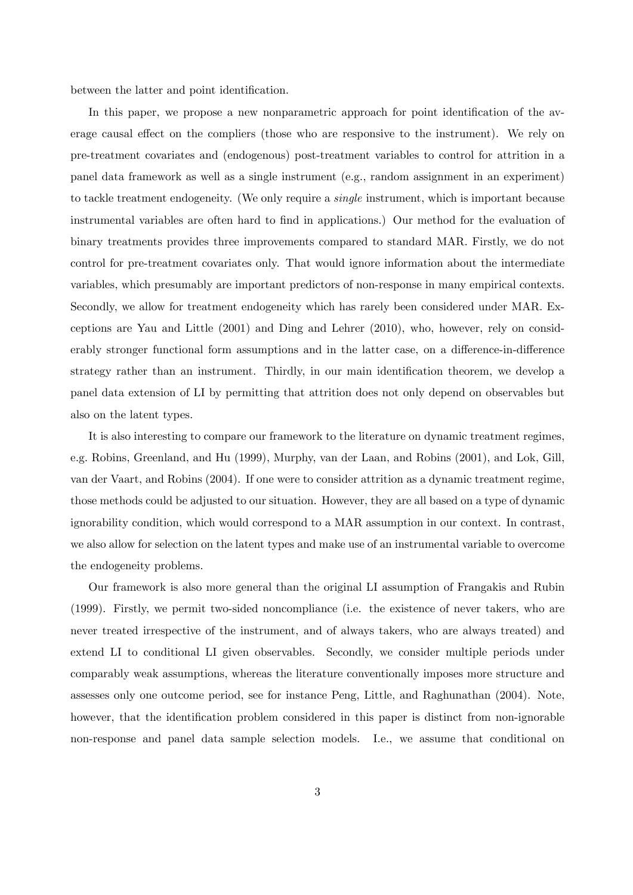between the latter and point identification.

In this paper, we propose a new nonparametric approach for point identification of the average causal effect on the compliers (those who are responsive to the instrument). We rely on pre-treatment covariates and (endogenous) post-treatment variables to control for attrition in a panel data framework as well as a single instrument (e.g., random assignment in an experiment) to tackle treatment endogeneity. (We only require a single instrument, which is important because instrumental variables are often hard to find in applications.) Our method for the evaluation of binary treatments provides three improvements compared to standard MAR. Firstly, we do not control for pre-treatment covariates only. That would ignore information about the intermediate variables, which presumably are important predictors of non-response in many empirical contexts. Secondly, we allow for treatment endogeneity which has rarely been considered under MAR. Exceptions are Yau and Little (2001) and Ding and Lehrer (2010), who, however, rely on considerably stronger functional form assumptions and in the latter case, on a difference-in-difference strategy rather than an instrument. Thirdly, in our main identification theorem, we develop a panel data extension of LI by permitting that attrition does not only depend on observables but also on the latent types.

It is also interesting to compare our framework to the literature on dynamic treatment regimes, e.g. Robins, Greenland, and Hu (1999), Murphy, van der Laan, and Robins (2001), and Lok, Gill, van der Vaart, and Robins (2004). If one were to consider attrition as a dynamic treatment regime, those methods could be adjusted to our situation. However, they are all based on a type of dynamic ignorability condition, which would correspond to a MAR assumption in our context. In contrast, we also allow for selection on the latent types and make use of an instrumental variable to overcome the endogeneity problems.

Our framework is also more general than the original LI assumption of Frangakis and Rubin (1999). Firstly, we permit two-sided noncompliance (i.e. the existence of never takers, who are never treated irrespective of the instrument, and of always takers, who are always treated) and extend LI to conditional LI given observables. Secondly, we consider multiple periods under comparably weak assumptions, whereas the literature conventionally imposes more structure and assesses only one outcome period, see for instance Peng, Little, and Raghunathan (2004). Note, however, that the identification problem considered in this paper is distinct from non-ignorable non-response and panel data sample selection models. I.e., we assume that conditional on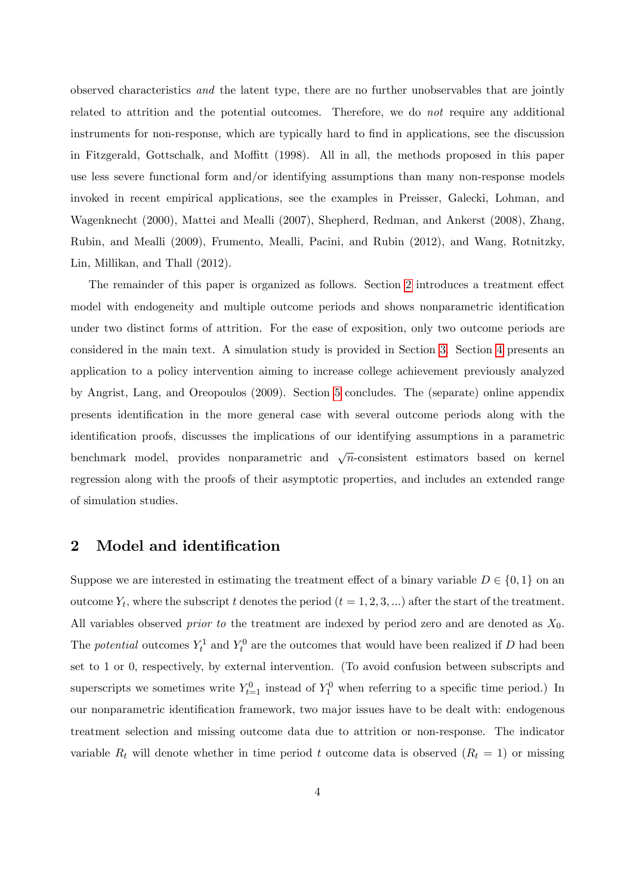observed characteristics and the latent type, there are no further unobservables that are jointly related to attrition and the potential outcomes. Therefore, we do not require any additional instruments for non-response, which are typically hard to find in applications, see the discussion in Fitzgerald, Gottschalk, and Moffitt (1998). All in all, the methods proposed in this paper use less severe functional form and/or identifying assumptions than many non-response models invoked in recent empirical applications, see the examples in Preisser, Galecki, Lohman, and Wagenknecht (2000), Mattei and Mealli (2007), Shepherd, Redman, and Ankerst (2008), Zhang, Rubin, and Mealli (2009), Frumento, Mealli, Pacini, and Rubin (2012), and Wang, Rotnitzky, Lin, Millikan, and Thall (2012).

The remainder of this paper is organized as follows. Section [2](#page-6-0) introduces a treatment effect model with endogeneity and multiple outcome periods and shows nonparametric identification under two distinct forms of attrition. For the ease of exposition, only two outcome periods are considered in the main text. A simulation study is provided in Section [3.](#page-15-0) Section [4](#page-21-0) presents an application to a policy intervention aiming to increase college achievement previously analyzed by Angrist, Lang, and Oreopoulos (2009). Section [5](#page-30-0) concludes. The (separate) online appendix presents identiÖcation in the more general case with several outcome periods along with the identification proofs, discusses the implications of our identifying assumptions in a parametric benchmark model, provides nonparametric and  $\sqrt{n}$ -consistent estimators based on kernel regression along with the proofs of their asymptotic properties, and includes an extended range of simulation studies.

### <span id="page-6-0"></span>2 Model and identification

Suppose we are interested in estimating the treatment effect of a binary variable  $D \in \{0,1\}$  on an outcome  $Y_t$ , where the subscript t denotes the period  $(t = 1, 2, 3, ...)$  after the start of the treatment. All variables observed *prior to* the treatment are indexed by period zero and are denoted as  $X_0$ . The *potential* outcomes  $Y_t^1$  and  $Y_t^0$  are the outcomes that would have been realized if D had been set to 1 or 0, respectively, by external intervention. (To avoid confusion between subscripts and superscripts we sometimes write  $Y_{t=1}^0$  instead of  $Y_1^0$  when referring to a specific time period.) In our nonparametric identiÖcation framework, two major issues have to be dealt with: endogenous treatment selection and missing outcome data due to attrition or non-response. The indicator variable  $R_t$  will denote whether in time period t outcome data is observed  $(R_t = 1)$  or missing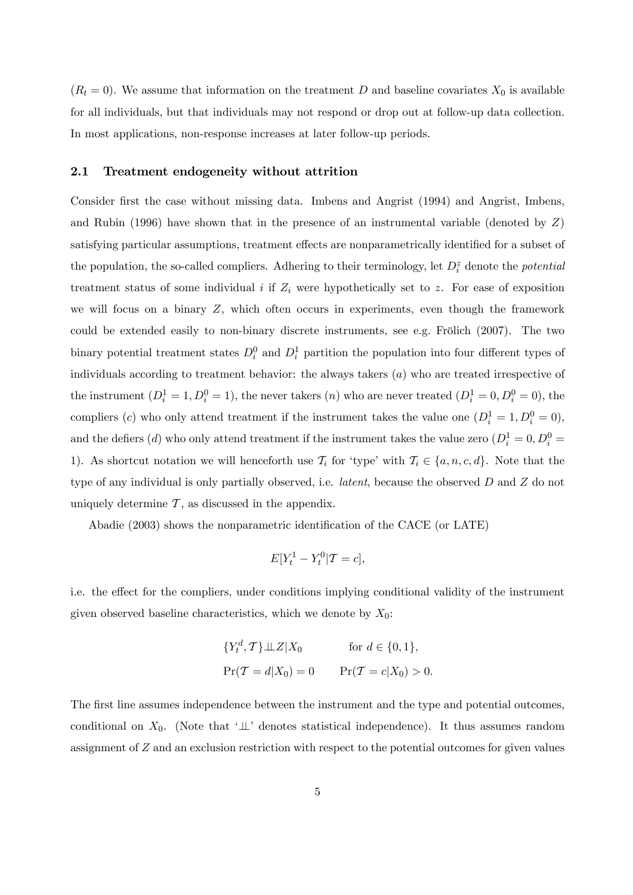$(R_t = 0)$ . We assume that information on the treatment D and baseline covariates  $X_0$  is available for all individuals, but that individuals may not respond or drop out at follow-up data collection. In most applications, non-response increases at later follow-up periods.

#### 2.1 Treatment endogeneity without attrition

Consider first the case without missing data. Imbens and Angrist (1994) and Angrist, Imbens, and Rubin (1996) have shown that in the presence of an instrumental variable (denoted by  $Z$ ) satisfying particular assumptions, treatment effects are nonparametrically identified for a subset of the population, the so-called compliers. Adhering to their terminology, let  $D_i^z$  denote the *potential* treatment status of some individual  $i$  if  $Z_i$  were hypothetically set to z. For ease of exposition we will focus on a binary Z, which often occurs in experiments, even though the framework could be extended easily to non-binary discrete instruments, see e.g. Frölich  $(2007)$ . The two binary potential treatment states  $D_i^0$  and  $D_i^1$  partition the population into four different types of individuals according to treatment behavior: the always takers  $(a)$  who are treated irrespective of the instrument  $(D_i^1 = 1, D_i^0 = 1)$ , the never takers  $(n)$  who are never treated  $(D_i^1 = 0, D_i^0 = 0)$ , the compliers (c) who only attend treatment if the instrument takes the value one  $(D_i^1 = 1, D_i^0 = 0)$ , and the defiers (*d*) who only attend treatment if the instrument takes the value zero  $(D_i^1 = 0, D_i^0 =$ 1). As shortcut notation we will henceforth use  $\mathcal{T}_i$  for 'type' with  $\mathcal{T}_i \in \{a, n, c, d\}$ . Note that the type of any individual is only partially observed, i.e. latent, because the observed D and Z do not uniquely determine  $\mathcal T$ , as discussed in the appendix.

Abadie (2003) shows the nonparametric identification of the CACE (or LATE)

$$
E[Y_t^1 - Y_t^0 | \mathcal{T} = c],
$$

i.e. the effect for the compliers, under conditions implying conditional validity of the instrument given observed baseline characteristics, which we denote by  $X_0$ :

$$
\{Y_t^d, \mathcal{T}\}\perp \!\!\! \perp Z|X_0 \quad \text{for } d \in \{0, 1\},
$$
  
 
$$
\Pr(\mathcal{T} = d|X_0) = 0 \quad \Pr(\mathcal{T} = c|X_0) > 0.
$$

The first line assumes independence between the instrument and the type and potential outcomes, conditional on  $X_0$ . (Note that ' $\perp$ ' denotes statistical independence). It thus assumes random assignment of Z and an exclusion restriction with respect to the potential outcomes for given values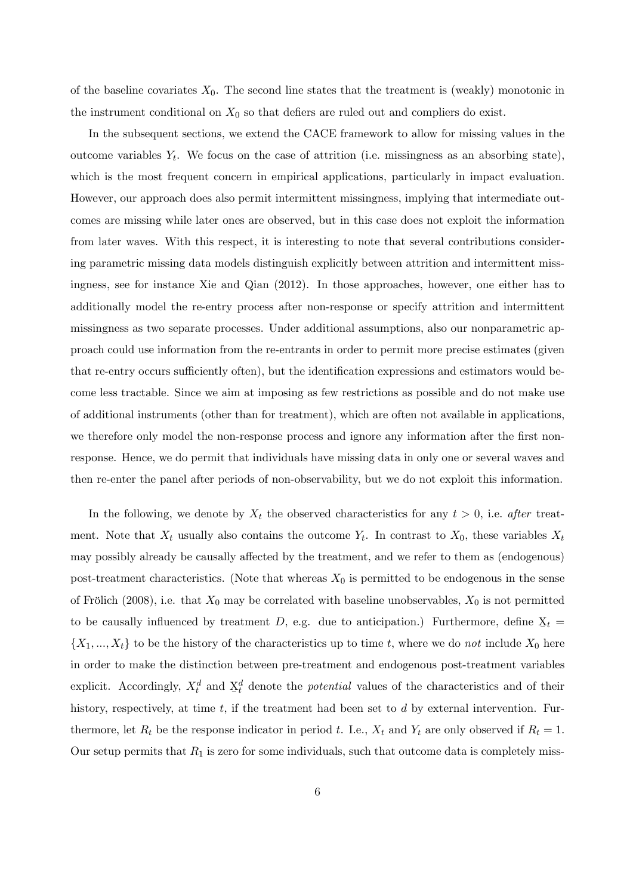of the baseline covariates  $X_0$ . The second line states that the treatment is (weakly) monotonic in the instrument conditional on  $X_0$  so that defiers are ruled out and compliers do exist.

In the subsequent sections, we extend the CACE framework to allow for missing values in the outcome variables  $Y_t$ . We focus on the case of attrition (i.e. missingness as an absorbing state), which is the most frequent concern in empirical applications, particularly in impact evaluation. However, our approach does also permit intermittent missingness, implying that intermediate outcomes are missing while later ones are observed, but in this case does not exploit the information from later waves. With this respect, it is interesting to note that several contributions considering parametric missing data models distinguish explicitly between attrition and intermittent missingness, see for instance Xie and Qian (2012). In those approaches, however, one either has to additionally model the re-entry process after non-response or specify attrition and intermittent missingness as two separate processes. Under additional assumptions, also our nonparametric approach could use information from the re-entrants in order to permit more precise estimates (given that re-entry occurs sufficiently often), but the identification expressions and estimators would become less tractable. Since we aim at imposing as few restrictions as possible and do not make use of additional instruments (other than for treatment), which are often not available in applications, we therefore only model the non-response process and ignore any information after the first nonresponse. Hence, we do permit that individuals have missing data in only one or several waves and then re-enter the panel after periods of non-observability, but we do not exploit this information.

In the following, we denote by  $X_t$  the observed characteristics for any  $t > 0$ , i.e. after treatment. Note that  $X_t$  usually also contains the outcome  $Y_t$ . In contrast to  $X_0$ , these variables  $X_t$ may possibly already be causally affected by the treatment, and we refer to them as (endogenous) post-treatment characteristics. (Note that whereas  $X_0$  is permitted to be endogenous in the sense of Frölich (2008), i.e. that  $X_0$  may be correlated with baseline unobservables,  $X_0$  is not permitted to be causally influenced by treatment  $D$ , e.g. due to anticipation.) Furthermore, define  $\mathbf{X}_t =$  $\{X_1, ..., X_t\}$  to be the history of the characteristics up to time t, where we do not include  $X_0$  here in order to make the distinction between pre-treatment and endogenous post-treatment variables explicit. Accordingly,  $X_t^d$  and  $\underline{X}$  $d_t$  denote the *potential* values of the characteristics and of their history, respectively, at time  $t$ , if the treatment had been set to  $d$  by external intervention. Furthermore, let  $R_t$  be the response indicator in period t. I.e.,  $X_t$  and  $Y_t$  are only observed if  $R_t = 1$ . Our setup permits that  $R_1$  is zero for some individuals, such that outcome data is completely miss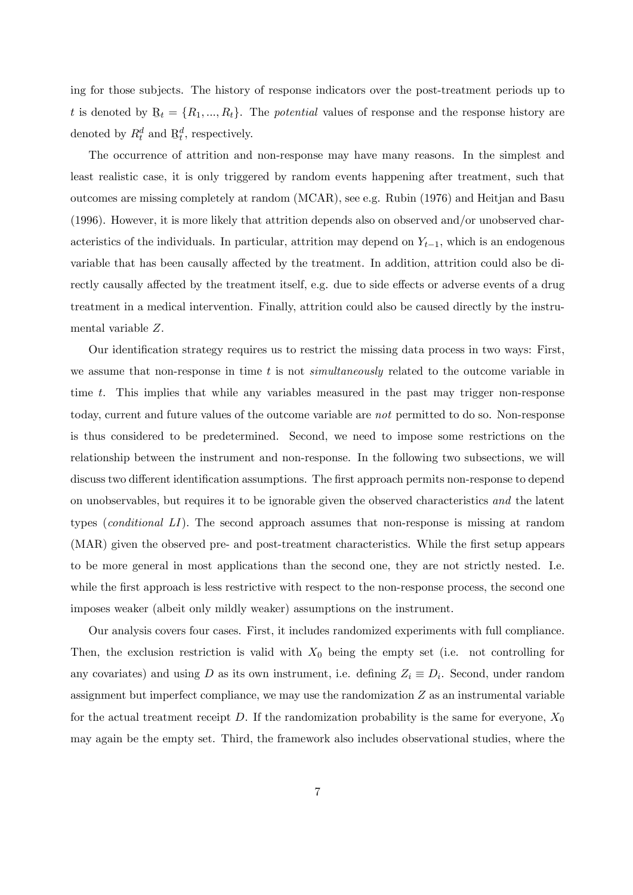ing for those subjects. The history of response indicators over the post-treatment periods up to t is denoted by  $B_t = \{R_1, ..., R_t\}$ . The *potential* values of response and the response history are denoted by  $R_t^d$  and R  $_t^d$ , respectively.

The occurrence of attrition and non-response may have many reasons. In the simplest and least realistic case, it is only triggered by random events happening after treatment, such that outcomes are missing completely at random (MCAR), see e.g. Rubin (1976) and Heitjan and Basu (1996). However, it is more likely that attrition depends also on observed and/or unobserved characteristics of the individuals. In particular, attrition may depend on  $Y_{t-1}$ , which is an endogenous variable that has been causally affected by the treatment. In addition, attrition could also be directly causally affected by the treatment itself, e.g. due to side effects or adverse events of a drug treatment in a medical intervention. Finally, attrition could also be caused directly by the instrumental variable Z.

Our identification strategy requires us to restrict the missing data process in two ways: First, we assume that non-response in time t is not simultaneously related to the outcome variable in time t. This implies that while any variables measured in the past may trigger non-response today, current and future values of the outcome variable are not permitted to do so. Non-response is thus considered to be predetermined. Second, we need to impose some restrictions on the relationship between the instrument and non-response. In the following two subsections, we will discuss two different identification assumptions. The first approach permits non-response to depend on unobservables, but requires it to be ignorable given the observed characteristics and the latent types (conditional LI). The second approach assumes that non-response is missing at random (MAR) given the observed pre- and post-treatment characteristics. While the first setup appears to be more general in most applications than the second one, they are not strictly nested. I.e. while the first approach is less restrictive with respect to the non-response process, the second one imposes weaker (albeit only mildly weaker) assumptions on the instrument.

Our analysis covers four cases. First, it includes randomized experiments with full compliance. Then, the exclusion restriction is valid with  $X_0$  being the empty set (i.e. not controlling for any covariates) and using D as its own instrument, i.e. defining  $Z_i \equiv D_i$ . Second, under random assignment but imperfect compliance, we may use the randomization  $Z$  as an instrumental variable for the actual treatment receipt  $D$ . If the randomization probability is the same for everyone,  $X_0$ may again be the empty set. Third, the framework also includes observational studies, where the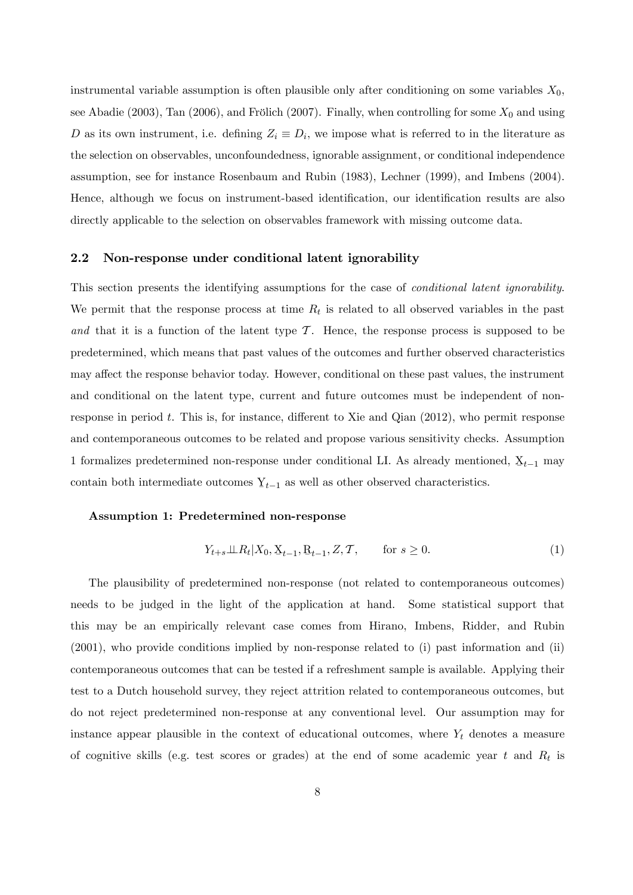instrumental variable assumption is often plausible only after conditioning on some variables  $X_0$ , see Abadie (2003), Tan (2006), and Frölich (2007). Finally, when controlling for some  $X_0$  and using D as its own instrument, i.e. defining  $Z_i \equiv D_i$ , we impose what is referred to in the literature as the selection on observables, unconfoundedness, ignorable assignment, or conditional independence assumption, see for instance Rosenbaum and Rubin (1983), Lechner (1999), and Imbens (2004). Hence, although we focus on instrument-based identification, our identification results are also directly applicable to the selection on observables framework with missing outcome data.

#### <span id="page-10-0"></span>2.2 Non-response under conditional latent ignorability

This section presents the identifying assumptions for the case of conditional latent ignorability. We permit that the response process at time  $R_t$  is related to all observed variables in the past and that it is a function of the latent type  $\mathcal T$ . Hence, the response process is supposed to be predetermined, which means that past values of the outcomes and further observed characteristics may affect the response behavior today. However, conditional on these past values, the instrument and conditional on the latent type, current and future outcomes must be independent of nonresponse in period  $t$ . This is, for instance, different to Xie and Qian  $(2012)$ , who permit response and contemporaneous outcomes to be related and propose various sensitivity checks. Assumption 1 formalizes predetermined non-response under conditional LI. As already mentioned,  $\Sigma_{t-1}$  may contain both intermediate outcomes  $Y_{t-1}$  as well as other observed characteristics.

#### Assumption 1: Predetermined non-response

$$
Y_{t+s} \perp \!\!\!\perp R_t | X_0, \underline{X}_{t-1}, \underline{R}_{t-1}, Z, T, \qquad \text{for } s \ge 0.
$$
 (1)

The plausibility of predetermined non-response (not related to contemporaneous outcomes) needs to be judged in the light of the application at hand. Some statistical support that this may be an empirically relevant case comes from Hirano, Imbens, Ridder, and Rubin (2001), who provide conditions implied by non-response related to (i) past information and (ii) contemporaneous outcomes that can be tested if a refreshment sample is available. Applying their test to a Dutch household survey, they reject attrition related to contemporaneous outcomes, but do not reject predetermined non-response at any conventional level. Our assumption may for instance appear plausible in the context of educational outcomes, where  $Y_t$  denotes a measure of cognitive skills (e.g. test scores or grades) at the end of some academic year t and  $R_t$  is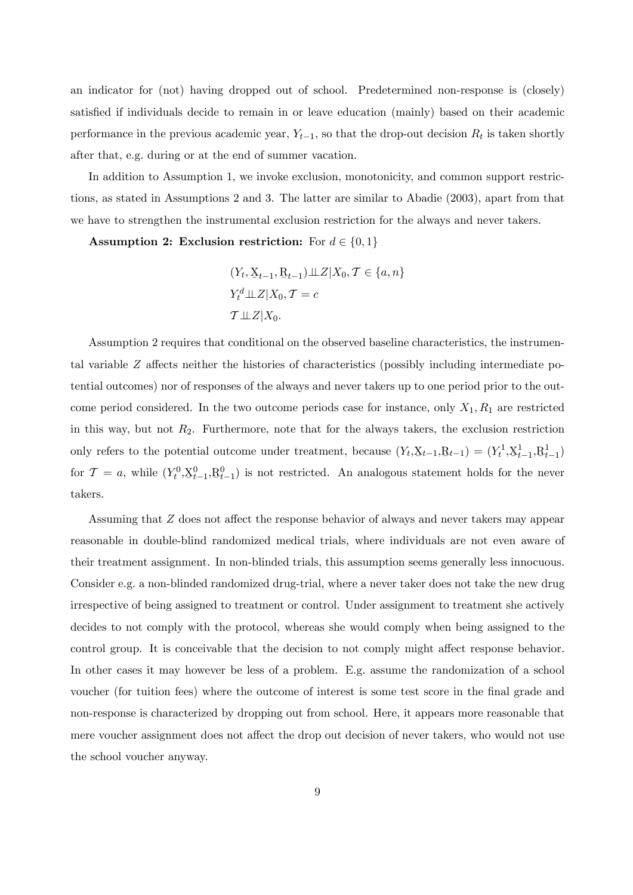an indicator for (not) having dropped out of school. Predetermined non-response is (closely) satisfied if individuals decide to remain in or leave education (mainly) based on their academic performance in the previous academic year,  $Y_{t-1}$ , so that the drop-out decision  $R_t$  is taken shortly after that, e.g. during or at the end of summer vacation.

In addition to Assumption 1, we invoke exclusion, monotonicity, and common support restrictions, as stated in Assumptions 2 and 3. The latter are similar to Abadie (2003), apart from that we have to strengthen the instrumental exclusion restriction for the always and never takers.

Assumption 2: Exclusion restriction: For  $d \in \{0, 1\}$ 

$$
(Y_t, \underline{X}_{t-1}, \underline{R}_{t-1}) \perp Z | X_0, \mathcal{T} \in \{a, n\}
$$
  

$$
Y_t^d \perp Z | X_0, \mathcal{T} = c
$$
  

$$
\mathcal{T} \perp Z | X_0.
$$

Assumption 2 requires that conditional on the observed baseline characteristics, the instrumental variable  $Z$  affects neither the histories of characteristics (possibly including intermediate potential outcomes) nor of responses of the always and never takers up to one period prior to the outcome period considered. In the two outcome periods case for instance, only  $X_1, R_1$  are restricted in this way, but not  $R_2$ . Furthermore, note that for the always takers, the exclusion restriction only refers to the potential outcome under treatment, because  $(Y_t, \underline{X}_{t-1}, \underline{R}_{t-1}) = (Y_t^1, \underline{X}_{t-1})$  $\frac{1}{t-1}, \underline{R}$  $^{1}_{t-1})$ for  $\mathcal{T} = a$ , while  $(Y_t^0, \underline{X})$  $_{t-1}^{0}, \mathbf{R}$  $_{t-1}^{0}$ ) is not restricted. An analogous statement holds for the never takers.

Assuming that  $Z$  does not affect the response behavior of always and never takers may appear reasonable in double-blind randomized medical trials, where individuals are not even aware of their treatment assignment. In non-blinded trials, this assumption seems generally less innocuous. Consider e.g. a non-blinded randomized drug-trial, where a never taker does not take the new drug irrespective of being assigned to treatment or control. Under assignment to treatment she actively decides to not comply with the protocol, whereas she would comply when being assigned to the control group. It is conceivable that the decision to not comply might affect response behavior. In other cases it may however be less of a problem. E.g. assume the randomization of a school voucher (for tuition fees) where the outcome of interest is some test score in the final grade and non-response is characterized by dropping out from school. Here, it appears more reasonable that mere voucher assignment does not affect the drop out decision of never takers, who would not use the school voucher anyway.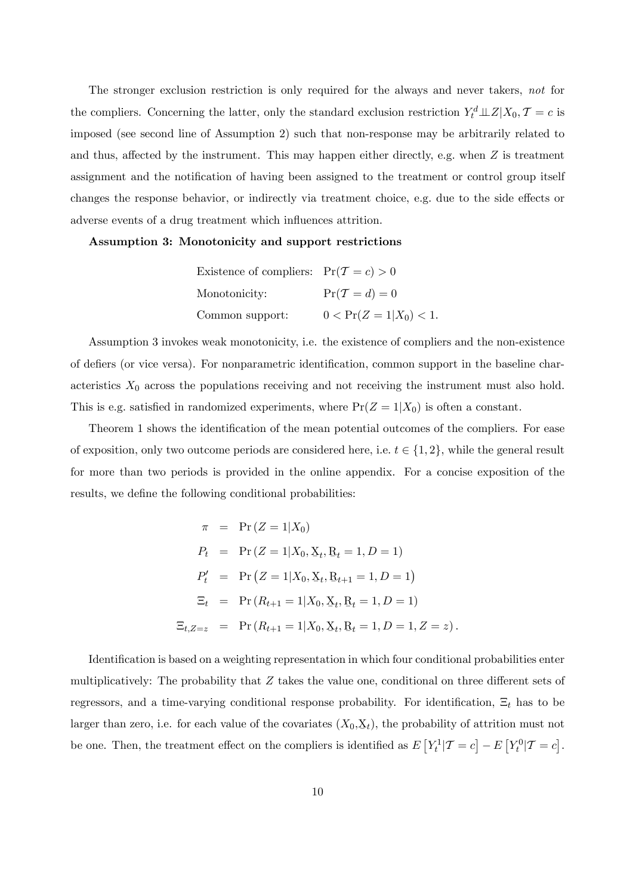The stronger exclusion restriction is only required for the always and never takers, not for the compliers. Concerning the latter, only the standard exclusion restriction  $Y_t^d \perp Z | X_0, \mathcal{T} = c$  is imposed (see second line of Assumption 2) such that non-response may be arbitrarily related to and thus, affected by the instrument. This may happen either directly, e.g. when  $Z$  is treatment assignment and the notification of having been assigned to the treatment or control group itself changes the response behavior, or indirectly via treatment choice, e.g. due to the side effects or adverse events of a drug treatment which influences attrition.

Assumption 3: Monotonicity and support restrictions

| Existence of compliers: $Pr(T = c) > 0$ |                             |
|-----------------------------------------|-----------------------------|
| Monotonicity:                           | $Pr(\mathcal{T} = d) = 0$   |
| Common support:                         | $0 < \Pr(Z = 1   X_0) < 1.$ |

Assumption 3 invokes weak monotonicity, i.e. the existence of compliers and the non-existence of defiers (or vice versa). For nonparametric identification, common support in the baseline characteristics  $X_0$  across the populations receiving and not receiving the instrument must also hold. This is e.g. satisfied in randomized experiments, where  $Pr(Z = 1|X_0)$  is often a constant.

Theorem 1 shows the identification of the mean potential outcomes of the compliers. For ease of exposition, only two outcome periods are considered here, i.e.  $t \in \{1, 2\}$ , while the general result for more than two periods is provided in the online appendix. For a concise exposition of the results, we define the following conditional probabilities:

$$
\pi = \Pr(Z = 1 | X_0)
$$
  
\n
$$
P_t = \Pr(Z = 1 | X_0, X_t, R_t = 1, D = 1)
$$
  
\n
$$
P'_t = \Pr(Z = 1 | X_0, X_t, R_{t+1} = 1, D = 1)
$$
  
\n
$$
\Xi_t = \Pr(R_{t+1} = 1 | X_0, X_t, R_t = 1, D = 1)
$$
  
\n
$$
\Xi_{t, Z=z} = \Pr(R_{t+1} = 1 | X_0, X_t, R_t = 1, D = 1, Z = z).
$$

Identification is based on a weighting representation in which four conditional probabilities enter multiplicatively: The probability that  $Z$  takes the value one, conditional on three different sets of regressors, and a time-varying conditional response probability. For identification,  $\Xi_t$  has to be larger than zero, i.e. for each value of the covariates  $(X_0, \mathbf{X}_t)$ , the probability of attrition must not be one. Then, the treatment effect on the compliers is identified as  $E[Y_t^1 | T = c] - E[Y_t^0 | T = c]$ .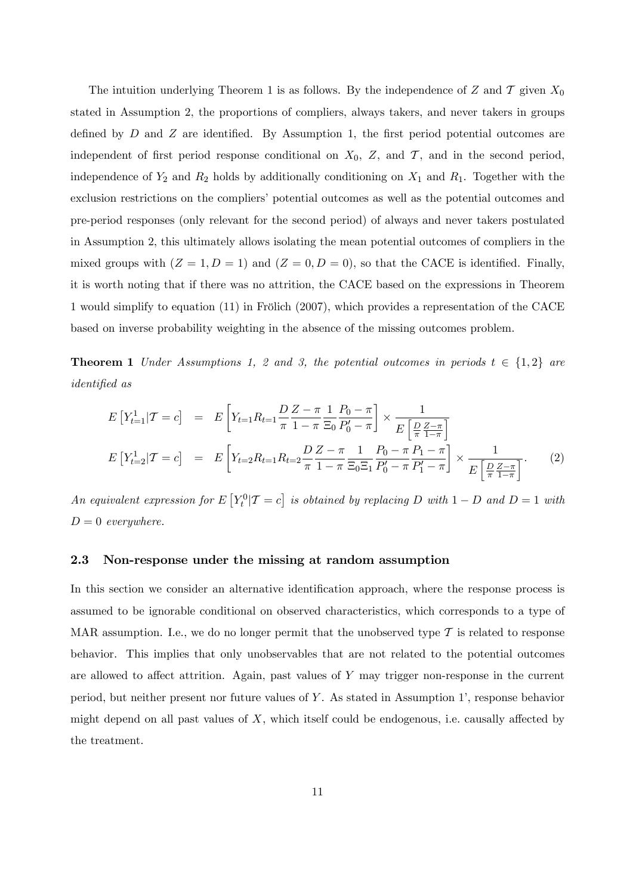The intuition underlying Theorem 1 is as follows. By the independence of Z and T given  $X_0$ stated in Assumption 2, the proportions of compliers, always takers, and never takers in groups defined by  $D$  and  $Z$  are identified. By Assumption 1, the first period potential outcomes are independent of first period response conditional on  $X_0$ , Z, and  $\mathcal T$ , and in the second period, independence of  $Y_2$  and  $R_2$  holds by additionally conditioning on  $X_1$  and  $R_1$ . Together with the exclusion restrictions on the compliers' potential outcomes as well as the potential outcomes and pre-period responses (only relevant for the second period) of always and never takers postulated in Assumption 2, this ultimately allows isolating the mean potential outcomes of compliers in the mixed groups with  $(Z = 1, D = 1)$  and  $(Z = 0, D = 0)$ , so that the CACE is identified. Finally, it is worth noting that if there was no attrition, the CACE based on the expressions in Theorem 1 would simplify to equation  $(11)$  in Frölich  $(2007)$ , which provides a representation of the CACE based on inverse probability weighting in the absence of the missing outcomes problem.

**Theorem 1** Under Assumptions 1, 2 and 3, the potential outcomes in periods  $t \in \{1,2\}$  are identified as

<span id="page-13-0"></span>
$$
E\left[Y_{t=1}^1|\mathcal{T}=c\right] = E\left[Y_{t=1}R_{t=1}\frac{D}{\pi}\frac{Z-\pi}{1-\pi}\frac{1}{\Xi_0}\frac{P_0-\pi}{P_0'-\pi}\right] \times \frac{1}{E\left[\frac{D}{\pi}\frac{Z-\pi}{1-\pi}\right]}
$$

$$
E\left[Y_{t=2}^1|\mathcal{T}=c\right] = E\left[Y_{t=2}R_{t=1}R_{t=2}\frac{D}{\pi}\frac{Z-\pi}{1-\pi}\frac{1}{\Xi_0\Xi_1}\frac{P_0-\pi}{P_0'-\pi}\frac{P_1-\pi}{P_1'-\pi}\right] \times \frac{1}{E\left[\frac{D}{\pi}\frac{Z-\pi}{1-\pi}\right]}.
$$
(2)

An equivalent expression for  $E[Y_t^0 | T = c]$  is obtained by replacing D with  $1 - D$  and  $D = 1$  with  $D = 0$  everywhere.

#### <span id="page-13-1"></span>2.3 Non-response under the missing at random assumption

In this section we consider an alternative identification approach, where the response process is assumed to be ignorable conditional on observed characteristics, which corresponds to a type of MAR assumption. I.e., we do no longer permit that the unobserved type  $\mathcal T$  is related to response behavior. This implies that only unobservables that are not related to the potential outcomes are allowed to affect attrition. Again, past values of  $Y$  may trigger non-response in the current period, but neither present nor future values of Y. As stated in Assumption 1', response behavior might depend on all past values of  $X$ , which itself could be endogenous, i.e. causally affected by the treatment.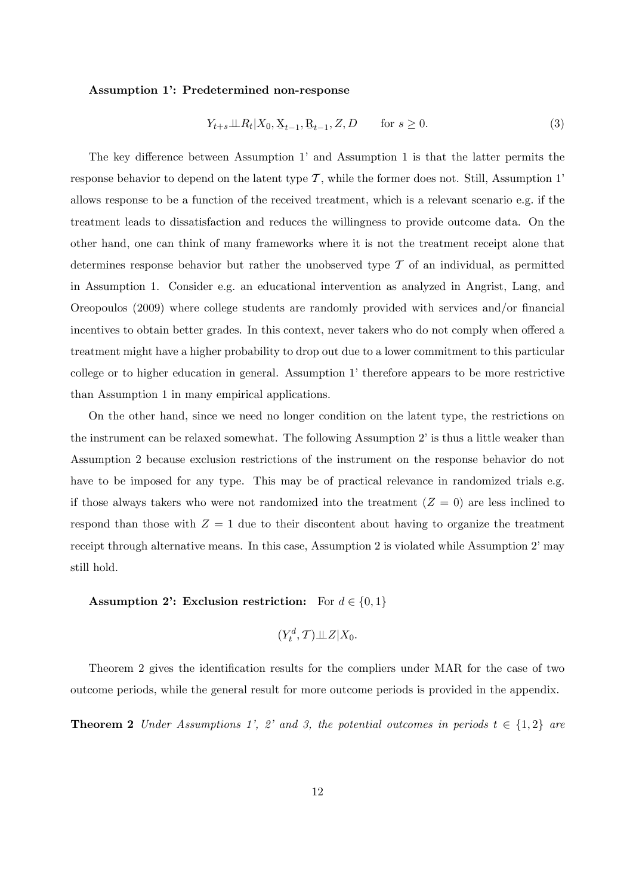#### Assumption 1: Predetermined non-response

$$
Y_{t+s} \perp \!\!\!\perp R_t | X_0, \underline{X}_{t-1}, \underline{R}_{t-1}, Z, D \qquad \text{for } s \ge 0.
$$
 (3)

The key difference between Assumption 1 and Assumption 1 is that the latter permits the response behavior to depend on the latent type  $\mathcal T$ , while the former does not. Still, Assumption 1<sup>*i*</sup> allows response to be a function of the received treatment, which is a relevant scenario e.g. if the treatment leads to dissatisfaction and reduces the willingness to provide outcome data. On the other hand, one can think of many frameworks where it is not the treatment receipt alone that determines response behavior but rather the unobserved type  $\mathcal T$  of an individual, as permitted in Assumption 1. Consider e.g. an educational intervention as analyzed in Angrist, Lang, and Oreopoulos (2009) where college students are randomly provided with services and/or Önancial incentives to obtain better grades. In this context, never takers who do not comply when offered a treatment might have a higher probability to drop out due to a lower commitment to this particular college or to higher education in general. Assumption 1' therefore appears to be more restrictive than Assumption 1 in many empirical applications.

On the other hand, since we need no longer condition on the latent type, the restrictions on the instrument can be relaxed somewhat. The following Assumption 2' is thus a little weaker than Assumption 2 because exclusion restrictions of the instrument on the response behavior do not have to be imposed for any type. This may be of practical relevance in randomized trials e.g. if those always takers who were not randomized into the treatment  $(Z = 0)$  are less inclined to respond than those with  $Z = 1$  due to their discontent about having to organize the treatment receipt through alternative means. In this case, Assumption 2 is violated while Assumption 2' may still hold.

#### Assumption 2: Exclusion restriction: For  $d \in \{0, 1\}$

$$
(Y_t^d, \mathcal{T}) \perp \!\!\! \perp Z | X_0.
$$

Theorem 2 gives the identification results for the compliers under MAR for the case of two outcome periods, while the general result for more outcome periods is provided in the appendix.

**Theorem 2** Under Assumptions 1', 2' and 3, the potential outcomes in periods  $t \in \{1,2\}$  are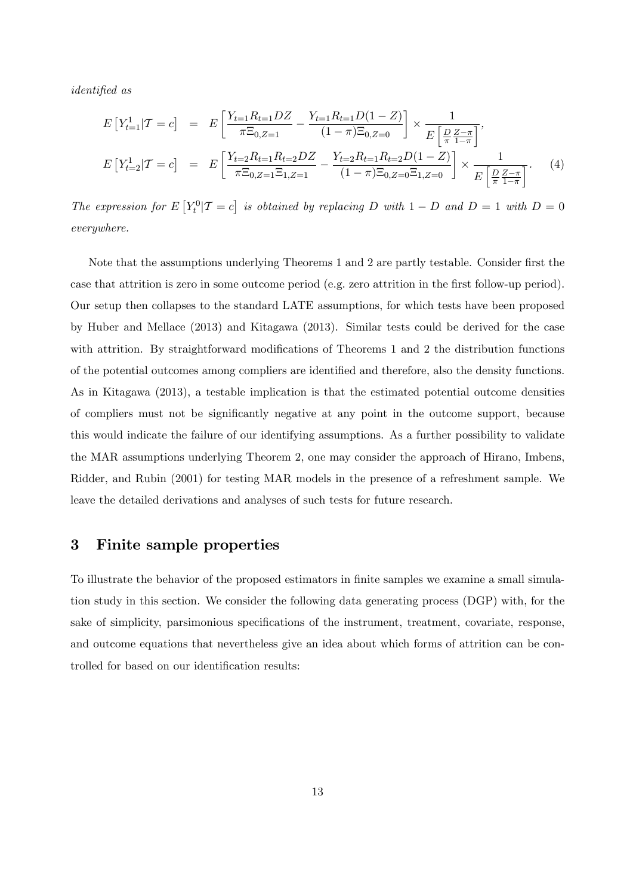identified as

<span id="page-15-1"></span>
$$
E\left[Y_{t=1}^1|\mathcal{T}=c\right] = E\left[\frac{Y_{t=1}R_{t=1}DZ}{\pi\Xi_{0,Z=1}} - \frac{Y_{t=1}R_{t=1}D(1-Z)}{(1-\pi)\Xi_{0,Z=0}}\right] \times \frac{1}{E\left[\frac{D}{\pi}\frac{Z-\pi}{1-\pi}\right]},
$$
  
\n
$$
E\left[Y_{t=2}^1|\mathcal{T}=c\right] = E\left[\frac{Y_{t=2}R_{t=1}R_{t=2}DZ}{\pi\Xi_{0,Z=1}\Xi_{1,Z=1}} - \frac{Y_{t=2}R_{t=1}R_{t=2}D(1-Z)}{(1-\pi)\Xi_{0,Z=0}\Xi_{1,Z=0}}\right] \times \frac{1}{E\left[\frac{D}{\pi}\frac{Z-\pi}{1-\pi}\right]}.
$$
 (4)

The expression for  $E[Y_t^0 | T = c]$  is obtained by replacing D with  $1 - D$  and  $D = 1$  with  $D = 0$ everywhere.

Note that the assumptions underlying Theorems 1 and 2 are partly testable. Consider first the case that attrition is zero in some outcome period (e.g. zero attrition in the first follow-up period). Our setup then collapses to the standard LATE assumptions, for which tests have been proposed by Huber and Mellace (2013) and Kitagawa (2013). Similar tests could be derived for the case with attrition. By straightforward modifications of Theorems 1 and 2 the distribution functions of the potential outcomes among compliers are identified and therefore, also the density functions. As in Kitagawa (2013), a testable implication is that the estimated potential outcome densities of compliers must not be signiÖcantly negative at any point in the outcome support, because this would indicate the failure of our identifying assumptions. As a further possibility to validate the MAR assumptions underlying Theorem 2, one may consider the approach of Hirano, Imbens, Ridder, and Rubin (2001) for testing MAR models in the presence of a refreshment sample. We leave the detailed derivations and analyses of such tests for future research.

### <span id="page-15-0"></span>3 Finite sample properties

To illustrate the behavior of the proposed estimators in finite samples we examine a small simulation study in this section. We consider the following data generating process (DGP) with, for the sake of simplicity, parsimonious specifications of the instrument, treatment, covariate, response, and outcome equations that nevertheless give an idea about which forms of attrition can be controlled for based on our identification results: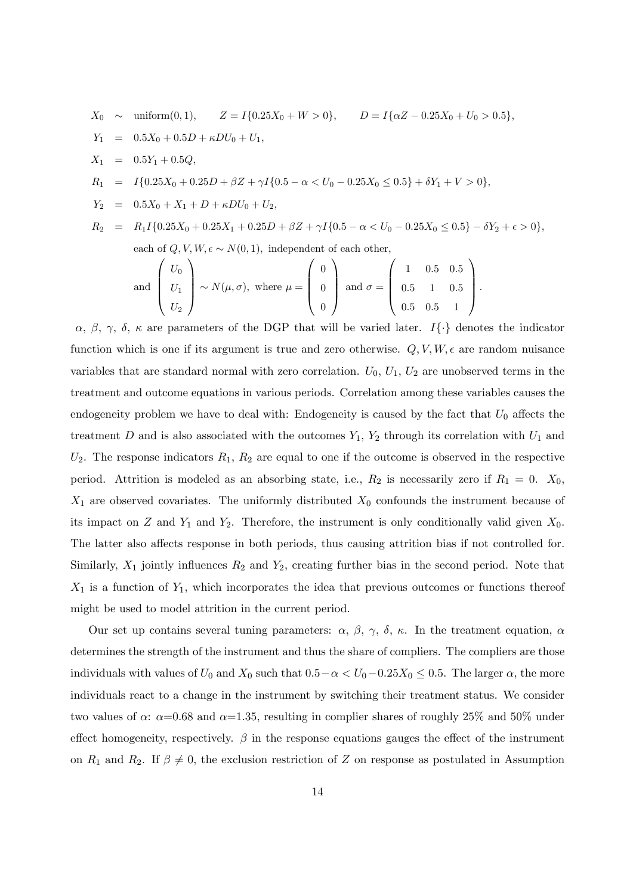$$
X_0 \sim \text{uniform}(0,1), \quad Z = I\{0.25X_0 + W > 0\}, \quad D = I\{\alpha Z - 0.25X_0 + U_0 > 0.5\},
$$
  
\n
$$
Y_1 = 0.5X_0 + 0.5D + \kappa DU_0 + U_1,
$$
  
\n
$$
X_1 = 0.5Y_1 + 0.5Q,
$$
  
\n
$$
R_1 = I\{0.25X_0 + 0.25D + \beta Z + \gamma I\{0.5 - \alpha < U_0 - 0.25X_0 \le 0.5\} + \delta Y_1 + V > 0\},
$$
  
\n
$$
Y_2 = 0.5X_0 + X_1 + D + \kappa DU_0 + U_2,
$$
  
\n
$$
R_2 = R_1I\{0.25X_0 + 0.25X_1 + 0.25D + \beta Z + \gamma I\{0.5 - \alpha < U_0 - 0.25X_0 \le 0.5\} - \delta Y_2 + \epsilon > 0\},
$$
  
\neach of Q, V, W,  $\epsilon \sim N(0, 1)$ , independent of each other,  
\n
$$
\begin{pmatrix} U_0 \end{pmatrix}
$$
  $\begin{pmatrix} 1 & 0.5 & 0.5 \end{pmatrix}$ 

and 
$$
\begin{pmatrix} U_0 \\ U_1 \\ U_2 \end{pmatrix} \sim N(\mu, \sigma)
$$
, where  $\mu = \begin{pmatrix} 0 \\ 0 \\ 0 \end{pmatrix}$  and  $\sigma = \begin{pmatrix} 1 & 0.5 & 0.5 \\ 0.5 & 1 & 0.5 \\ 0.5 & 0.5 & 1 \end{pmatrix}$ .

 $\alpha, \beta, \gamma, \delta, \kappa$  are parameters of the DGP that will be varied later.  $I\{\cdot\}$  denotes the indicator function which is one if its argument is true and zero otherwise.  $Q, V, W, \epsilon$  are random nuisance variables that are standard normal with zero correlation.  $U_0$ ,  $U_1$ ,  $U_2$  are unobserved terms in the treatment and outcome equations in various periods. Correlation among these variables causes the endogeneity problem we have to deal with: Endogeneity is caused by the fact that  $U_0$  affects the treatment D and is also associated with the outcomes  $Y_1$ ,  $Y_2$  through its correlation with  $U_1$  and  $U_2$ . The response indicators  $R_1, R_2$  are equal to one if the outcome is observed in the respective period. Attrition is modeled as an absorbing state, i.e.,  $R_2$  is necessarily zero if  $R_1 = 0$ .  $X_0$ ,  $X_1$  are observed covariates. The uniformly distributed  $X_0$  confounds the instrument because of its impact on Z and  $Y_1$  and  $Y_2$ . Therefore, the instrument is only conditionally valid given  $X_0$ . The latter also affects response in both periods, thus causing attrition bias if not controlled for. Similarly,  $X_1$  jointly influences  $R_2$  and  $Y_2$ , creating further bias in the second period. Note that  $X_1$  is a function of  $Y_1$ , which incorporates the idea that previous outcomes or functions thereof might be used to model attrition in the current period.

Our set up contains several tuning parameters:  $\alpha$ ,  $\beta$ ,  $\gamma$ ,  $\delta$ ,  $\kappa$ . In the treatment equation,  $\alpha$ determines the strength of the instrument and thus the share of compliers. The compliers are those individuals with values of  $U_0$  and  $X_0$  such that  $0.5 - \alpha < U_0 - 0.25X_0 \leq 0.5$ . The larger  $\alpha$ , the more individuals react to a change in the instrument by switching their treatment status. We consider two values of  $\alpha$ :  $\alpha$ =0.68 and  $\alpha$ =1.35, resulting in complier shares of roughly 25% and 50% under effect homogeneity, respectively.  $\beta$  in the response equations gauges the effect of the instrument on  $R_1$  and  $R_2$ . If  $\beta \neq 0$ , the exclusion restriction of Z on response as postulated in Assumption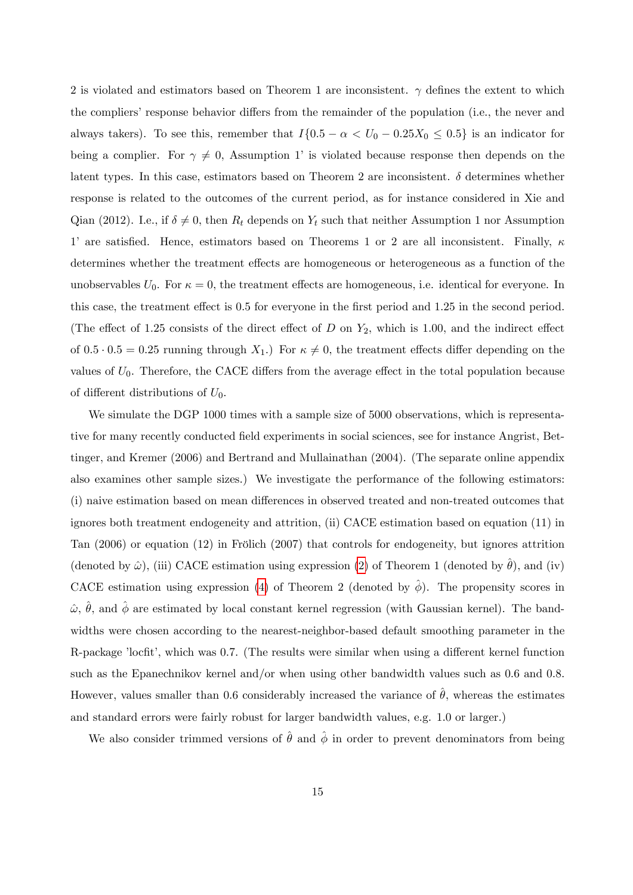2 is violated and estimators based on Theorem 1 are inconsistent.  $\gamma$  defines the extent to which the compliers' response behavior differs from the remainder of the population (i.e., the never and always takers). To see this, remember that  $I\{0.5 - \alpha < U_0 - 0.25X_0 \leq 0.5\}$  is an indicator for being a complier. For  $\gamma \neq 0$ , Assumption 1' is violated because response then depends on the latent types. In this case, estimators based on Theorem 2 are inconsistent.  $\delta$  determines whether response is related to the outcomes of the current period, as for instance considered in Xie and Qian (2012). I.e., if  $\delta \neq 0$ , then  $R_t$  depends on  $Y_t$  such that neither Assumption 1 nor Assumption 1' are satisfied. Hence, estimators based on Theorems 1 or 2 are all inconsistent. Finally,  $\kappa$ determines whether the treatment effects are homogeneous or heterogeneous as a function of the unobservables  $U_0$ . For  $\kappa = 0$ , the treatment effects are homogeneous, i.e. identical for everyone. In this case, the treatment effect is 0.5 for everyone in the first period and 1.25 in the second period. (The effect of 1.25 consists of the direct effect of D on  $Y_2$ , which is 1.00, and the indirect effect of  $0.5 \cdot 0.5 = 0.25$  running through  $X_1$ .) For  $\kappa \neq 0$ , the treatment effects differ depending on the values of  $U_0$ . Therefore, the CACE differs from the average effect in the total population because of different distributions of  $U_0$ .

We simulate the DGP 1000 times with a sample size of 5000 observations, which is representative for many recently conducted field experiments in social sciences, see for instance Angrist, Bettinger, and Kremer (2006) and Bertrand and Mullainathan (2004). (The separate online appendix also examines other sample sizes.) We investigate the performance of the following estimators: (i) naive estimation based on mean differences in observed treated and non-treated outcomes that ignores both treatment endogeneity and attrition, (ii) CACE estimation based on equation (11) in Tan  $(2006)$  or equation  $(12)$  in Frölich  $(2007)$  that controls for endogeneity, but ignores attrition (denoted by  $\hat{\omega}$ ), (iii) CACE estimation using expression [\(2\)](#page-13-0) of Theorem 1 (denoted by  $\hat{\theta}$ ), and (iv) CACE estimation using expression [\(4\)](#page-15-1) of Theorem 2 (denoted by  $\hat{\phi}$ ). The propensity scores in  $\hat{\omega}, \hat{\theta}$ , and  $\hat{\phi}$  are estimated by local constant kernel regression (with Gaussian kernel). The bandwidths were chosen according to the nearest-neighbor-based default smoothing parameter in the R-package 'locfit', which was 0.7. (The results were similar when using a different kernel function such as the Epanechnikov kernel and/or when using other bandwidth values such as 0.6 and 0.8. However, values smaller than 0.6 considerably increased the variance of  $\hat{\theta}$ , whereas the estimates and standard errors were fairly robust for larger bandwidth values, e.g. 1.0 or larger.)

We also consider trimmed versions of  $\hat{\theta}$  and  $\hat{\phi}$  in order to prevent denominators from being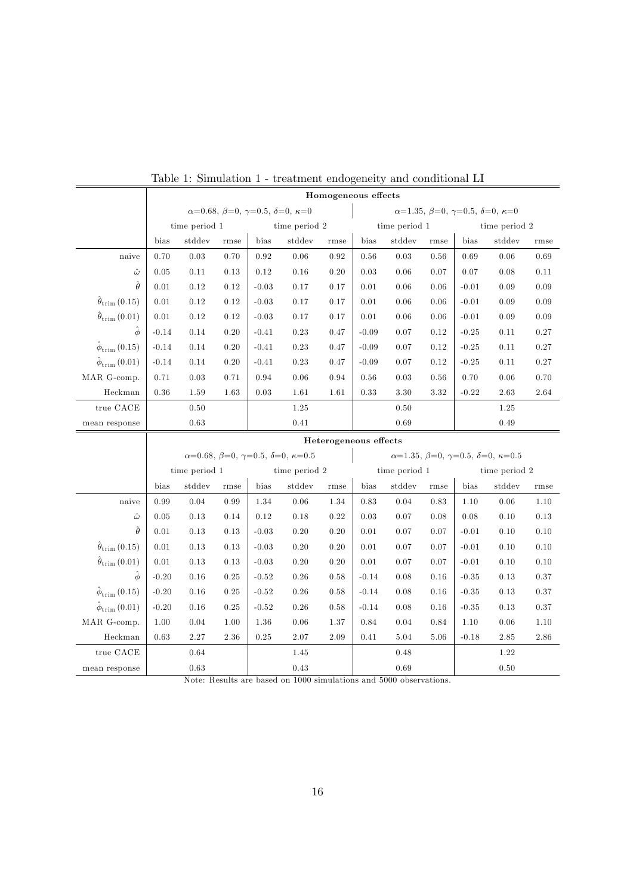|                                    | Homogeneous effects                                    |               |      |         |                                                          |                       |                                                          |                                                        |      |         |               |          |  |
|------------------------------------|--------------------------------------------------------|---------------|------|---------|----------------------------------------------------------|-----------------------|----------------------------------------------------------|--------------------------------------------------------|------|---------|---------------|----------|--|
|                                    | $\alpha=0.68, \beta=0, \gamma=0.5, \delta=0, \kappa=0$ |               |      |         |                                                          |                       |                                                          | $\alpha=1.35, \beta=0, \gamma=0.5, \delta=0, \kappa=0$ |      |         |               |          |  |
|                                    | time period 1                                          |               |      |         | time period 2                                            |                       | time period 1                                            |                                                        |      |         | time period 2 |          |  |
|                                    | bias                                                   | stddev        | rmse | bias    | stddev<br>bias<br>rmse                                   |                       |                                                          | stddev                                                 | rmse | bias    | stddev        | rmse     |  |
| naive                              | 0.70                                                   | 0.03          | 0.70 | 0.92    | 0.06                                                     | 0.92                  | 0.56                                                     | 0.03                                                   | 0.56 | 0.69    | 0.06          | 0.69     |  |
| $\hat{\omega}$                     | 0.05                                                   | 0.11          | 0.13 | 0.12    | 0.16                                                     | 0.20                  | $\rm 0.03$                                               | $0.06\,$                                               | 0.07 | 0.07    | 0.08          | 0.11     |  |
| $\hat{\theta}$                     | 0.01                                                   | 0.12          | 0.12 | $-0.03$ | 0.17                                                     | 0.17                  | 0.01                                                     | 0.06                                                   | 0.06 | $-0.01$ | 0.09          | 0.09     |  |
| $\hat{\theta}_{\text{trim}}(0.15)$ | 0.01                                                   | 0.12          | 0.12 | $-0.03$ | 0.17                                                     | 0.17                  | 0.01                                                     | 0.06                                                   | 0.06 | $-0.01$ | 0.09          | 0.09     |  |
| $\hat{\theta}_{\text{trim}}(0.01)$ | 0.01                                                   | 0.12          | 0.12 | $-0.03$ | 0.17                                                     | 0.17                  | 0.01                                                     | 0.06                                                   | 0.06 | $-0.01$ | 0.09          | 0.09     |  |
| $\hat{\phi}$                       | $-0.14$                                                | 0.14          | 0.20 | $-0.41$ | 0.23                                                     | 0.47                  | $-0.09$                                                  | 0.07                                                   | 0.12 | $-0.25$ | 0.11          | 0.27     |  |
| $\hat{\phi}_{\text{trim}}(0.15)$   | $-0.14$                                                | 0.14          | 0.20 | $-0.41$ | 0.23                                                     | 0.47                  | $-0.09$                                                  | 0.07                                                   | 0.12 | $-0.25$ | 0.11          | 0.27     |  |
| $\hat{\phi}_{\text{trim}}(0.01)$   | $-0.14$                                                | 0.14          | 0.20 | $-0.41$ | 0.23                                                     | 0.47                  | $-0.09$                                                  | 0.07                                                   | 0.12 | $-0.25$ | 0.11          | 0.27     |  |
| MAR G-comp.                        | 0.71                                                   | 0.03          | 0.71 | 0.94    | 0.06                                                     | 0.94                  | 0.56                                                     | $\rm 0.03$                                             | 0.56 | 0.70    | 0.06          | 0.70     |  |
| Heckman                            | 0.36                                                   | 1.59          | 1.63 | 0.03    | 1.61                                                     | 1.61                  | 0.33                                                     | $3.30\,$                                               | 3.32 | $-0.22$ | 2.63          | $2.64\,$ |  |
| true CACE                          |                                                        | 0.50          |      | 1.25    |                                                          |                       | 0.50                                                     |                                                        |      | 1.25    |               |          |  |
| mean response                      |                                                        | 0.63          |      |         | 0.41                                                     |                       |                                                          | 0.69                                                   |      | 0.49    |               |          |  |
|                                    |                                                        |               |      |         |                                                          | Heterogeneous effects |                                                          |                                                        |      |         |               |          |  |
|                                    |                                                        |               |      |         | $\alpha=0.68, \beta=0, \gamma=0.5, \delta=0, \kappa=0.5$ |                       | $\alpha=1.35, \beta=0, \gamma=0.5, \delta=0, \kappa=0.5$ |                                                        |      |         |               |          |  |
|                                    |                                                        | time period 1 |      |         | time period 2                                            |                       | time period 1<br>time period 2                           |                                                        |      |         |               |          |  |
|                                    | bias                                                   | stddev        | rmse | bias    | stddev                                                   | rmse                  | bias                                                     | stddev                                                 | rmse | bias    | stddev        | rmse     |  |
| naive                              | 0.99                                                   | 0.04          | 0.99 | 1.34    | 0.06                                                     | 1.34                  | 0.83                                                     | 0.04                                                   | 0.83 | 1.10    | 0.06          | 1.10     |  |
| $\hat{\omega}$                     | 0.05                                                   | 0.13          | 0.14 | 0.12    | 0.18                                                     | 0.22                  | 0.03                                                     | 0.07                                                   | 0.08 | 0.08    | 0.10          | 0.13     |  |
| Ô                                  | $0.01\,$                                               | 0.13          | 0.13 | $-0.03$ | 0.20                                                     | 0.20                  | 0.01                                                     | 0.07                                                   | 0.07 | $-0.01$ | 0.10          | 0.10     |  |
| $\hat{\theta}_{\text{trim}}(0.15)$ | 0.01                                                   | 0.13          | 0.13 | $-0.03$ | 0.20                                                     | 0.20                  | 0.01                                                     | 0.07                                                   | 0.07 | $-0.01$ | 0.10          | 0.10     |  |
| $\hat{\theta}_{\text{trim}}(0.01)$ | 0.01                                                   | 0.13          | 0.13 | $-0.03$ | 0.20                                                     | 0.20                  | 0.01                                                     | 0.07                                                   | 0.07 | $-0.01$ | 0.10          | 0.10     |  |
| $\hat{\phi}$                       | $-0.20$                                                | 0.16          | 0.25 | $-0.52$ | 0.26                                                     | 0.58                  | $-0.14$                                                  | 0.08                                                   | 0.16 | $-0.35$ | 0.13          | 0.37     |  |
| $\hat{\phi}_{\text{trim}}(0.15)$   | $-0.20$                                                | $0.16\,$      | 0.25 | $-0.52$ | 0.26                                                     | 0.58                  | $-0.14$                                                  | 0.08                                                   | 0.16 | $-0.35$ | 0.13          | 0.37     |  |
| $\hat{\phi}_{\text{trim}}(0.01)$   | $-0.20$                                                | 0.16          | 0.25 | $-0.52$ | 0.26                                                     | 0.58                  | $-0.14$                                                  | 0.08                                                   | 0.16 | $-0.35$ | 0.13          | 0.37     |  |
| MAR G-comp.                        | 1.00                                                   | 0.04          | 1.00 | 1.36    | 0.06                                                     | 1.37                  | 0.84                                                     | 0.04                                                   | 0.84 | 1.10    | 0.06          | 1.10     |  |

<span id="page-18-0"></span>

Note: Results are based on 1000 simulations and 5000 observations.

true CACE 0.64 1.45 0.48 1.22 mean response  $\begin{array}{|l|c|c|c|c|c|c|c|} \hline 0.63 & 0.43 & 0.69 & 0.50 \ \hline \end{array}$ 

Heckman 0.63 2.27 2.36 0.25 2.07 2.09 0.41 5.04 5.06 -0.18 2.85 2.86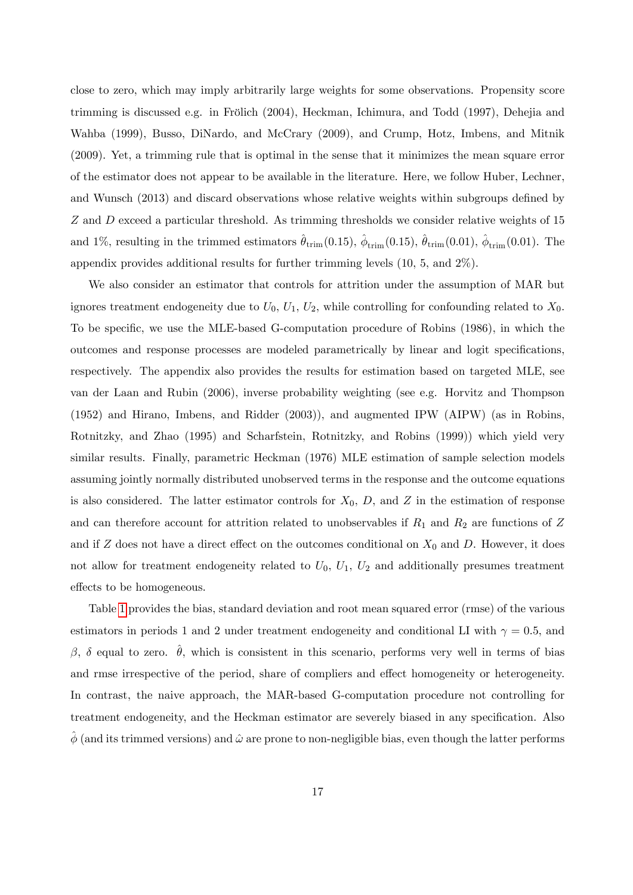close to zero, which may imply arbitrarily large weights for some observations. Propensity score trimming is discussed e.g. in Frölich (2004), Heckman, Ichimura, and Todd (1997), Dehejia and Wahba (1999), Busso, DiNardo, and McCrary (2009), and Crump, Hotz, Imbens, and Mitnik (2009). Yet, a trimming rule that is optimal in the sense that it minimizes the mean square error of the estimator does not appear to be available in the literature. Here, we follow Huber, Lechner, and Wunsch  $(2013)$  and discard observations whose relative weights within subgroups defined by Z and D exceed a particular threshold. As trimming thresholds we consider relative weights of 15 and 1%, resulting in the trimmed estimators  $\hat{\theta}_{\text{trim}}(0.15)$ ,  $\hat{\phi}_{\text{trim}}(0.15)$ ,  $\hat{\theta}_{\text{trim}}(0.01)$ ,  $\hat{\phi}_{\text{trim}}(0.01)$ . The appendix provides additional results for further trimming levels (10, 5, and 2%).

We also consider an estimator that controls for attrition under the assumption of MAR but ignores treatment endogeneity due to  $U_0$ ,  $U_1$ ,  $U_2$ , while controlling for confounding related to  $X_0$ . To be specific, we use the MLE-based G-computation procedure of Robins (1986), in which the outcomes and response processes are modeled parametrically by linear and logit specifications, respectively. The appendix also provides the results for estimation based on targeted MLE, see van der Laan and Rubin (2006), inverse probability weighting (see e.g. Horvitz and Thompson (1952) and Hirano, Imbens, and Ridder (2003)), and augmented IPW (AIPW) (as in Robins, Rotnitzky, and Zhao (1995) and Scharfstein, Rotnitzky, and Robins (1999)) which yield very similar results. Finally, parametric Heckman (1976) MLE estimation of sample selection models assuming jointly normally distributed unobserved terms in the response and the outcome equations is also considered. The latter estimator controls for  $X_0$ ,  $D$ , and  $Z$  in the estimation of response and can therefore account for attrition related to unobservables if  $R_1$  and  $R_2$  are functions of Z and if Z does not have a direct effect on the outcomes conditional on  $X_0$  and D. However, it does not allow for treatment endogeneity related to  $U_0$ ,  $U_1$ ,  $U_2$  and additionally presumes treatment effects to be homogeneous.

Table [1](#page-18-0) provides the bias, standard deviation and root mean squared error (rmse) of the various estimators in periods 1 and 2 under treatment endogeneity and conditional LI with  $\gamma = 0.5$ , and  $\beta$ ,  $\delta$  equal to zero.  $\hat{\theta}$ , which is consistent in this scenario, performs very well in terms of bias and rmse irrespective of the period, share of compliers and effect homogeneity or heterogeneity. In contrast, the naive approach, the MAR-based G-computation procedure not controlling for treatment endogeneity, and the Heckman estimator are severely biased in any specification. Also  $\phi$  (and its trimmed versions) and  $\hat{\omega}$  are prone to non-negligible bias, even though the latter performs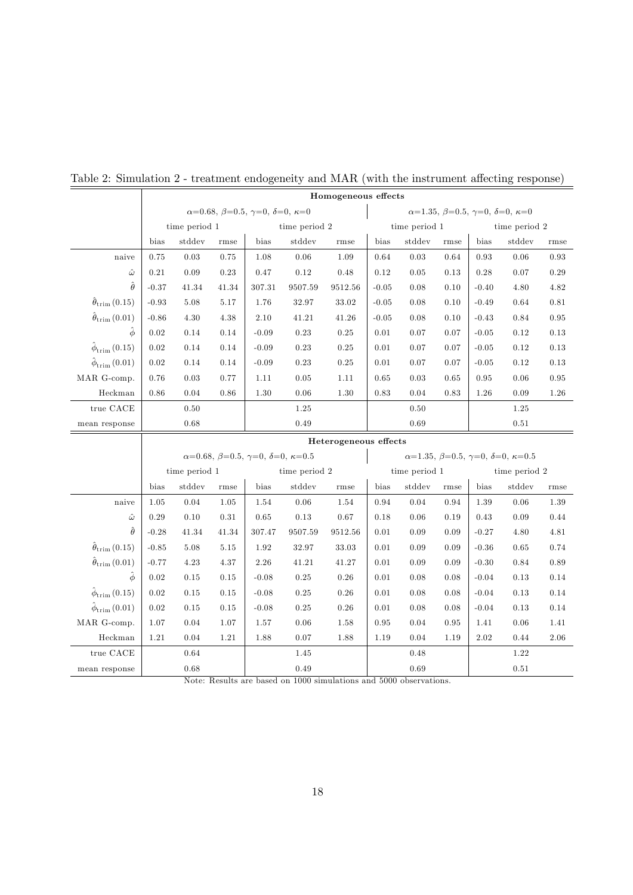|                                    | Homogeneous effects                                    |               |          |                                                                  |                |         |                                                                |               |                       |         |                                                          |      |  |  |
|------------------------------------|--------------------------------------------------------|---------------|----------|------------------------------------------------------------------|----------------|---------|----------------------------------------------------------------|---------------|-----------------------|---------|----------------------------------------------------------|------|--|--|
|                                    | $\alpha=0.68, \beta=0.5, \gamma=0, \delta=0, \kappa=0$ |               |          |                                                                  |                |         | $\alpha=1.35, \ \beta=0.5, \ \gamma=0, \ \delta=0, \ \kappa=0$ |               |                       |         |                                                          |      |  |  |
|                                    |                                                        | time period 1 |          |                                                                  | time period 2  |         |                                                                | time period 1 |                       |         | time period 2                                            |      |  |  |
|                                    | bias                                                   | stddev        | rmse     | bias                                                             | stddev<br>rmse |         | bias                                                           | stddev        | rmse                  | bias    | stddev                                                   | rmse |  |  |
| naive                              | 0.75                                                   | 0.03          | 0.75     | 1.08                                                             | 0.06           | 1.09    | 0.64                                                           | 0.03          | 0.64                  | 0.93    | 0.06                                                     | 0.93 |  |  |
| $\hat{\omega}$                     | $0.21\,$                                               | $0.09\,$      | $0.23\,$ | $0.47\,$                                                         | $0.12\,$       | 0.48    | 0.12                                                           | $0.05\,$      | 0.13                  | 0.28    | 0.07                                                     | 0.29 |  |  |
| $\hat{\theta}$                     | $-0.37$                                                | 41.34         | 41.34    | 307.31                                                           | 9507.59        | 9512.56 | $-0.05$                                                        | 0.08          | 0.10                  | $-0.40$ | 4.80                                                     | 4.82 |  |  |
| $\hat{\theta}_{\text{trim}}(0.15)$ | $-0.93$                                                | 5.08          | 5.17     | 1.76                                                             | 32.97          | 33.02   | $-0.05$                                                        | 0.08          | 0.10                  | $-0.49$ | 0.64                                                     | 0.81 |  |  |
| $\hat{\theta}_{\text{trim}}(0.01)$ | $-0.86$                                                | 4.30          | 4.38     | 2.10                                                             | 41.21          | 41.26   | $-0.05$                                                        | 0.08          | 0.10                  | $-0.43$ | 0.84                                                     | 0.95 |  |  |
| $\hat{\phi}$                       | 0.02                                                   | 0.14          | 0.14     | $-0.09$                                                          | 0.23           | 0.25    | $0.01\,$                                                       | 0.07          | 0.07                  | $-0.05$ | 0.12                                                     | 0.13 |  |  |
| $\hat{\phi}_{\text{trim}}(0.15)$   | 0.02                                                   | 0.14          | 0.14     | $-0.09$                                                          | 0.23           | 0.25    | 0.01                                                           | 0.07          | 0.07                  | $-0.05$ | 0.12                                                     | 0.13 |  |  |
| $\hat{\phi}_{\text{trim}}(0.01)$   | $0.02\,$                                               | 0.14          | 0.14     | $-0.09$                                                          | 0.23           | 0.25    | 0.01                                                           | 0.07          | 0.07                  | $-0.05$ | 0.12                                                     | 0.13 |  |  |
| MAR G-comp.                        | 0.76                                                   | 0.03          | 0.77     | 1.11                                                             | $0.05\,$       | 1.11    | 0.65                                                           | 0.03          | 0.65                  | 0.95    | 0.06                                                     | 0.95 |  |  |
| Heckman                            | 0.86                                                   | 0.04          | 0.86     | 1.30                                                             | 0.06           | 1.30    | 0.83                                                           | 0.04          | 0.83                  | 1.26    | 0.09                                                     | 1.26 |  |  |
| true $\mathrm{CACE}$               |                                                        | 0.50          |          |                                                                  | 1.25           |         |                                                                | 0.50          |                       |         | 1.25                                                     |      |  |  |
| mean response                      |                                                        | 0.68          |          |                                                                  | 0.49           |         |                                                                | 0.69          |                       | 0.51    |                                                          |      |  |  |
|                                    |                                                        |               |          |                                                                  |                |         |                                                                |               | Heterogeneous effects |         |                                                          |      |  |  |
|                                    |                                                        |               |          |                                                                  |                |         |                                                                |               |                       |         |                                                          |      |  |  |
|                                    |                                                        |               |          | $\alpha=0.68, \ \beta=0.5, \ \gamma=0, \ \delta=0, \ \kappa=0.5$ |                |         |                                                                |               |                       |         | $\alpha=1.35, \beta=0.5, \gamma=0, \delta=0, \kappa=0.5$ |      |  |  |
|                                    |                                                        | time period 1 |          |                                                                  | time period 2  |         |                                                                | time period 1 |                       |         | time period 2                                            |      |  |  |
|                                    | bias                                                   | stddev        | rmse     | bias                                                             | stddev         | rmse    | bias                                                           | stddev        | rmse                  | bias    | stddev                                                   | rmse |  |  |
| naive                              | 1.05                                                   | 0.04          | 1.05     | 1.54                                                             | 0.06           | 1.54    | 0.94                                                           | 0.04          | 0.94                  | 1.39    | 0.06                                                     | 1.39 |  |  |
| $\hat{\omega}$                     | $0.29\,$                                               | 0.10          | $0.31\,$ | 0.65                                                             | 0.13           | 0.67    | 0.18                                                           | 0.06          | 0.19                  | 0.43    | 0.09                                                     | 0.44 |  |  |
| $\ddot{\theta}$                    | $-0.28$                                                | 41.34         | 41.34    | 307.47                                                           | 9507.59        | 9512.56 | $0.01\,$                                                       | 0.09          | 0.09                  | $-0.27$ | 4.80                                                     | 4.81 |  |  |
| $\hat{\theta}_{\text{trim}}(0.15)$ | $-0.85$                                                | 5.08          | 5.15     | 1.92                                                             | 32.97          | 33.03   | $0.01\,$                                                       | 0.09          | 0.09                  | $-0.36$ | 0.65                                                     | 0.74 |  |  |
| $\hat{\theta}_{\text{trim}}(0.01)$ | $-0.77$                                                | 4.23          | 4.37     | 2.26                                                             | 41.21          | 41.27   | $0.01\,$                                                       | 0.09          | 0.09                  | $-0.30$ | 0.84                                                     | 0.89 |  |  |
| $\hat{\phi}$                       | $0.02\,$                                               | $0.15\,$      | 0.15     | $-0.08$                                                          | 0.25           | 0.26    | $0.01\,$                                                       | 0.08          | 0.08                  | $-0.04$ | 0.13                                                     | 0.14 |  |  |
| $\hat{\phi}_{\text{trim}}(0.15)$   | $0.02\,$                                               | 0.15          | 0.15     | $-0.08$                                                          | $0.25\,$       | 0.26    | 0.01                                                           | 0.08          | 0.08                  | $-0.04$ | 0.13                                                     | 0.14 |  |  |
| $\hat{\phi}_{\text{trim}}(0.01)$   | $0.02\,$                                               | $0.15\,$      | 0.15     | $-0.08$                                                          | $0.25\,$       | 0.26    | $0.01\,$                                                       | 0.08          | 0.08                  | $-0.04$ | 0.13                                                     | 0.14 |  |  |
| MAR G-comp.                        | 1.07                                                   | 0.04          | 1.07     | 1.57                                                             | 0.06           | 1.58    | 0.95                                                           | 0.04          | 0.95                  | 1.41    | 0.06                                                     | 1.41 |  |  |
| Heckman                            | 1.21                                                   | 0.04          | 1.21     | 1.88                                                             | 0.07           | 1.88    | 1.19                                                           | 0.04          | 1.19                  | 2.02    | 0.44                                                     | 2.06 |  |  |
| true CACE                          |                                                        | 0.64          |          |                                                                  | 1.45           |         |                                                                | 0.48          |                       |         | 1.22                                                     |      |  |  |

# <span id="page-20-0"></span>Table 2: Simulation  $2$  - treatment endogeneity and MAR (with the instrument affecting response)

Note: Results are based on 1000 simulations and 5000 observations.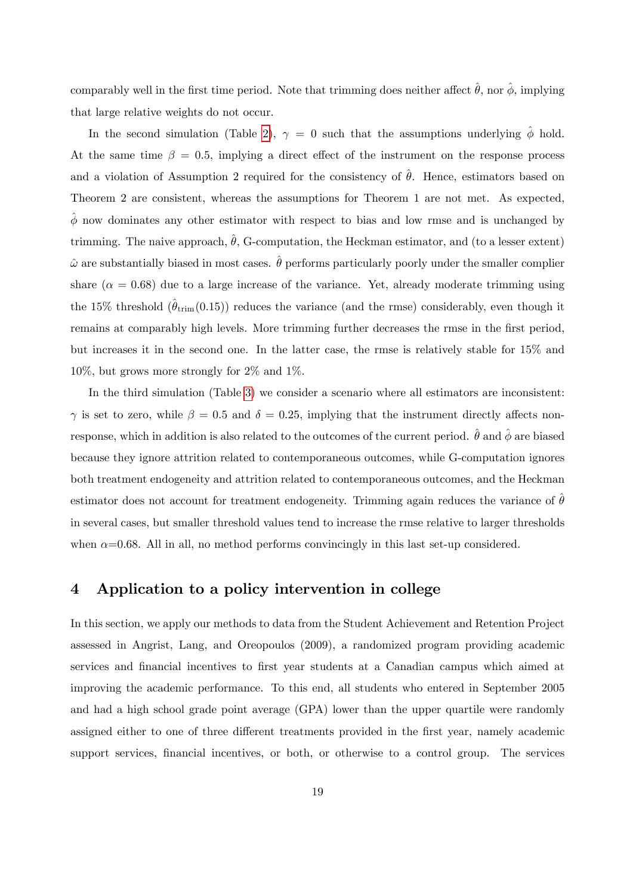comparably well in the first time period. Note that trimming does neither affect  $\hat{\theta}$ , nor  $\hat{\phi}$ , implying that large relative weights do not occur.

In the second simulation (Table [2\)](#page-20-0),  $\gamma = 0$  such that the assumptions underlying  $\hat{\phi}$  hold. At the same time  $\beta = 0.5$ , implying a direct effect of the instrument on the response process and a violation of Assumption 2 required for the consistency of  $\hat{\theta}$ . Hence, estimators based on Theorem 2 are consistent, whereas the assumptions for Theorem 1 are not met. As expected,  $\hat{\phi}$  now dominates any other estimator with respect to bias and low rmse and is unchanged by trimming. The naive approach,  $\ddot{\theta}$ , G-computation, the Heckman estimator, and (to a lesser extent)  $\hat{\omega}$  are substantially biased in most cases.  $\hat{\theta}$  performs particularly poorly under the smaller complier share  $(\alpha = 0.68)$  due to a large increase of the variance. Yet, already moderate trimming using the 15% threshold  $(\hat{\theta}_{\text{trim}}(0.15))$  reduces the variance (and the rmse) considerably, even though it remains at comparably high levels. More trimming further decreases the rmse in the first period, but increases it in the second one. In the latter case, the rmse is relatively stable for 15% and 10%, but grows more strongly for 2% and 1%.

In the third simulation (Table [3\)](#page-22-0) we consider a scenario where all estimators are inconsistent:  $\gamma$  is set to zero, while  $\beta = 0.5$  and  $\delta = 0.25$ , implying that the instrument directly affects nonresponse, which in addition is also related to the outcomes of the current period.  $\hat{\theta}$  and  $\hat{\phi}$  are biased because they ignore attrition related to contemporaneous outcomes, while G-computation ignores both treatment endogeneity and attrition related to contemporaneous outcomes, and the Heckman estimator does not account for treatment endogeneity. Trimming again reduces the variance of  $\theta$ in several cases, but smaller threshold values tend to increase the rmse relative to larger thresholds when  $\alpha$ =0.68. All in all, no method performs convincingly in this last set-up considered.

## <span id="page-21-0"></span>4 Application to a policy intervention in college

In this section, we apply our methods to data from the Student Achievement and Retention Project assessed in Angrist, Lang, and Oreopoulos (2009), a randomized program providing academic services and Önancial incentives to Örst year students at a Canadian campus which aimed at improving the academic performance. To this end, all students who entered in September 2005 and had a high school grade point average (GPA) lower than the upper quartile were randomly assigned either to one of three different treatments provided in the first year, namely academic support services, financial incentives, or both, or otherwise to a control group. The services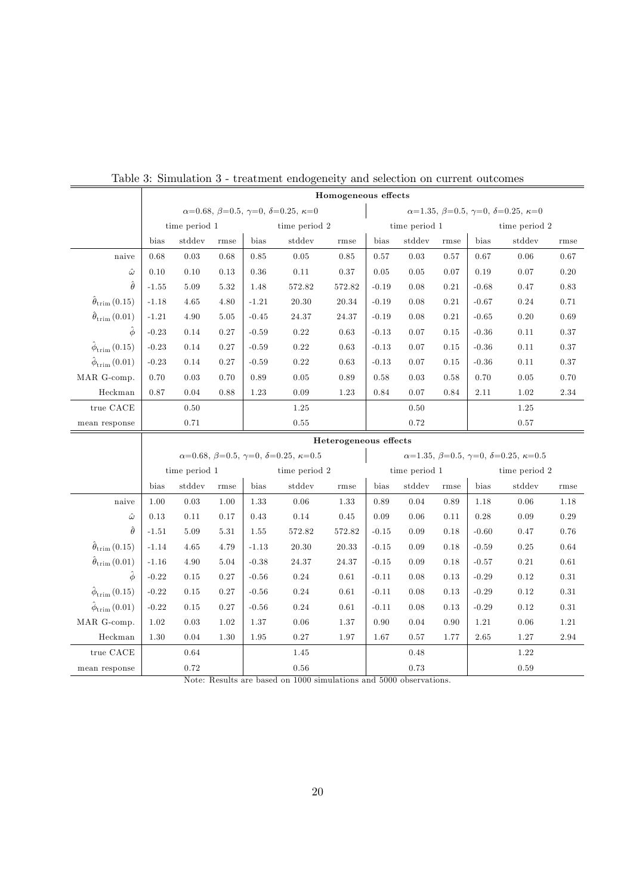|                                    | Homogeneous effects |               |      |               |                                                                               |                                                           |                                                                     |        |      |               |          |          |
|------------------------------------|---------------------|---------------|------|---------------|-------------------------------------------------------------------------------|-----------------------------------------------------------|---------------------------------------------------------------------|--------|------|---------------|----------|----------|
|                                    |                     |               |      |               | $\alpha=0.68, \ \beta=0.5, \ \gamma=0, \ \delta=0.25, \ \kappa=0$             | $\alpha=1.35, \beta=0.5, \gamma=0, \delta=0.25, \kappa=0$ |                                                                     |        |      |               |          |          |
|                                    |                     | time period 1 |      | time period 2 |                                                                               | time period 1                                             |                                                                     |        |      | time period 2 |          |          |
|                                    | bias                | stddev        | rmse | bias          | stddev                                                                        | rmse                                                      | bias                                                                | stddev | rmse | bias          | stddev   | rmse     |
| naive                              | 0.68                | 0.03          | 0.68 | 0.85          | 0.05                                                                          | 0.85                                                      | 0.57                                                                | 0.03   | 0.57 | 0.67          | 0.06     | 0.67     |
| $\hat{\omega}$                     | $0.10\,$            | 0.10          | 0.13 | $0.36\,$      | $0.11\,$                                                                      | 0.37                                                      | 0.05                                                                | 0.05   | 0.07 | 0.19          | 0.07     | $0.20\,$ |
| $\hat{\theta}$                     | $-1.55$             | 5.09          | 5.32 | 1.48          | 572.82                                                                        | 572.82                                                    | $-0.19$                                                             | 0.08   | 0.21 | $-0.68$       | 0.47     | 0.83     |
| $\hat{\theta}_{\text{trim}}(0.15)$ | $-1.18$             | 4.65          | 4.80 | $-1.21$       | 20.30                                                                         | 20.34                                                     | $-0.19$                                                             | 0.08   | 0.21 | $-0.67$       | 0.24     | 0.71     |
| $\hat{\theta}_{\text{trim}}(0.01)$ | $-1.21$             | 4.90          | 5.05 | $-0.45$       | 24.37                                                                         | 24.37                                                     | $-0.19$                                                             | 0.08   | 0.21 | $-0.65$       | 0.20     | 0.69     |
| $\hat{\phi}$                       | $-0.23$             | 0.14          | 0.27 | $-0.59$       | 0.22                                                                          | 0.63                                                      | $-0.13$                                                             | 0.07   | 0.15 | $-0.36$       | 0.11     | 0.37     |
| $\hat{\phi}_{\text{trim}}(0.15)$   | $-0.23$             | 0.14          | 0.27 | $-0.59$       | 0.22                                                                          | 0.63                                                      | $-0.13$                                                             | 0.07   | 0.15 | $-0.36$       | 0.11     | 0.37     |
| $\hat{\phi}_{\text{trim}}(0.01)$   | $-0.23$             | 0.14          | 0.27 | $-0.59$       | 0.22                                                                          | 0.63                                                      | $-0.13$                                                             | 0.07   | 0.15 | $-0.36$       | 0.11     | 0.37     |
| MAR G-comp.                        | 0.70                | 0.03          | 0.70 | 0.89          | 0.05                                                                          | 0.89                                                      | 0.58                                                                | 0.03   | 0.58 | 0.70          | 0.05     | 0.70     |
| Heckman                            | 0.87                | 0.04          | 0.88 | 1.23          | 0.09                                                                          | 1.23                                                      | 0.84                                                                | 0.07   | 0.84 | 2.11          | 1.02     | 2.34     |
| true $\rm CACE$                    |                     | 0.50          |      |               | 1.25                                                                          |                                                           |                                                                     | 0.50   |      |               | 1.25     |          |
| mean response                      |                     | 0.71          |      |               | 0.55                                                                          |                                                           |                                                                     | 0.72   |      |               | 0.57     |          |
|                                    |                     |               |      |               |                                                                               | Heterogeneous effects                                     |                                                                     |        |      |               |          |          |
|                                    |                     |               |      |               | $\alpha = 0.68, \ \beta = 0.5, \ \gamma = 0, \ \delta = 0.25, \ \kappa = 0.5$ |                                                           | $\alpha=1.35, \ \beta=0.5, \ \gamma=0, \ \delta=0.25, \ \kappa=0.5$ |        |      |               |          |          |
|                                    |                     | time period 1 |      |               | time period 2                                                                 |                                                           | time period 1<br>time period 2                                      |        |      |               |          |          |
|                                    | bias                | stddev        |      |               |                                                                               |                                                           |                                                                     |        |      |               |          |          |
| naive                              |                     |               | rmse | bias          | stddev                                                                        | rmse                                                      | bias                                                                | stddev | rmse | bias          | stddev   | rmse     |
|                                    | 1.00                | 0.03          | 1.00 | 1.33          | 0.06                                                                          | 1.33                                                      | 0.89                                                                | 0.04   | 0.89 | 1.18          | 0.06     | 1.18     |
| $\hat{\omega}$                     | 0.13                | 0.11          | 0.17 | $0.43\,$      | $0.14\,$                                                                      | 0.45                                                      | 0.09                                                                | 0.06   | 0.11 | 0.28          | 0.09     | 0.29     |
| $\hat{\theta}$                     | $-1.51$             | 5.09          | 5.31 | 1.55          | 572.82                                                                        | 572.82                                                    | $-0.15$                                                             | 0.09   | 0.18 | $-0.60$       | 0.47     | 0.76     |
| $\hat{\theta}_{\text{trim}}(0.15)$ | $-1.14$             | 4.65          | 4.79 | $-1.13$       | 20.30                                                                         | 20.33                                                     | $-0.15$                                                             | 0.09   | 0.18 | $-0.59$       | 0.25     | 0.64     |
| $\hat{\theta}_{\text{trim}}(0.01)$ | $-1.16$             | 4.90          | 5.04 | $-0.38$       | 24.37                                                                         | 24.37                                                     | $-0.15$                                                             | 0.09   | 0.18 | $-0.57$       | 0.21     | 0.61     |
| $\hat{\phi}$                       | $-0.22$             | 0.15          | 0.27 | $-0.56$       | 0.24                                                                          | 0.61                                                      | $-0.11$                                                             | 0.08   | 0.13 | $-0.29$       | 0.12     | 0.31     |
| $\hat{\phi}_{\text{trim}}(0.15)$   | $-0.22$             | 0.15          | 0.27 | $-0.56$       | $0.24\,$                                                                      | $\rm 0.61$                                                | $-0.11$                                                             | 0.08   | 0.13 | $-0.29$       | $0.12\,$ | $0.31\,$ |
| $\hat{\phi}_{\text{trim}}(0.01)$   | $-0.22$             | 0.15          | 0.27 | $-0.56$       | 0.24                                                                          | 0.61                                                      | $-0.11$                                                             | 0.08   | 0.13 | $-0.29$       | 0.12     | $0.31\,$ |
| MAR G-comp.                        | 1.02                | 0.03          | 1.02 | 1.37          | 0.06                                                                          | 1.37                                                      | 0.90                                                                | 0.04   | 0.90 | 1.21          | 0.06     | 1.21     |
| Heckman                            | 1.30                | 0.04          | 1.30 | 1.95          | 0.27                                                                          | 1.97                                                      | 1.67                                                                | 0.57   | 1.77 | 2.65          | 1.27     | 2.94     |
| true $\rm CACE$                    |                     | 0.64          |      |               | 1.45                                                                          |                                                           |                                                                     | 0.48   |      |               | 1.22     |          |

<span id="page-22-0"></span>Table 3: Simulation 3 - treatment endogeneity and selection on current outcomes

Note: Results are based on 1000 simulations and 5000 observations.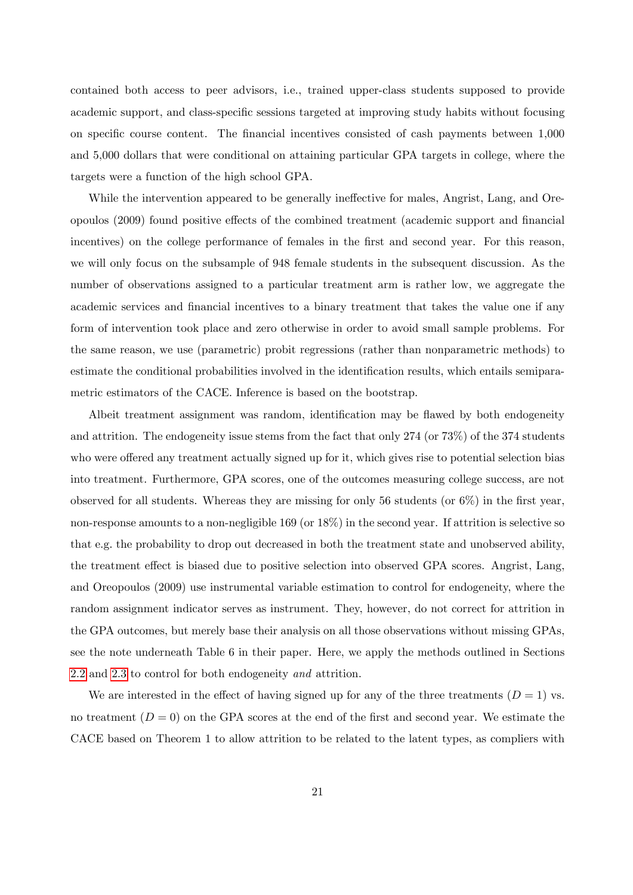contained both access to peer advisors, i.e., trained upper-class students supposed to provide academic support, and class-specific sessions targeted at improving study habits without focusing on specific course content. The financial incentives consisted of cash payments between 1,000 and 5,000 dollars that were conditional on attaining particular GPA targets in college, where the targets were a function of the high school GPA.

While the intervention appeared to be generally ineffective for males, Angrist, Lang, and Oreopoulos (2009) found positive effects of the combined treatment (academic support and financial incentives) on the college performance of females in the first and second year. For this reason, we will only focus on the subsample of 948 female students in the subsequent discussion. As the number of observations assigned to a particular treatment arm is rather low, we aggregate the academic services and financial incentives to a binary treatment that takes the value one if any form of intervention took place and zero otherwise in order to avoid small sample problems. For the same reason, we use (parametric) probit regressions (rather than nonparametric methods) to estimate the conditional probabilities involved in the identification results, which entails semiparametric estimators of the CACE. Inference is based on the bootstrap.

Albeit treatment assignment was random, identification may be flawed by both endogeneity and attrition. The endogeneity issue stems from the fact that only 274 (or 73%) of the 374 students who were offered any treatment actually signed up for it, which gives rise to potential selection bias into treatment. Furthermore, GPA scores, one of the outcomes measuring college success, are not observed for all students. Whereas they are missing for only 56 students (or  $6\%$ ) in the first year, non-response amounts to a non-negligible 169 (or  $18\%$ ) in the second year. If attrition is selective so that e.g. the probability to drop out decreased in both the treatment state and unobserved ability, the treatment effect is biased due to positive selection into observed GPA scores. Angrist, Lang, and Oreopoulos (2009) use instrumental variable estimation to control for endogeneity, where the random assignment indicator serves as instrument. They, however, do not correct for attrition in the GPA outcomes, but merely base their analysis on all those observations without missing GPAs, see the note underneath Table 6 in their paper. Here, we apply the methods outlined in Sections [2.2](#page-10-0) and [2.3](#page-13-1) to control for both endogeneity and attrition.

We are interested in the effect of having signed up for any of the three treatments  $(D = 1)$  vs. no treatment  $(D = 0)$  on the GPA scores at the end of the first and second year. We estimate the CACE based on Theorem 1 to allow attrition to be related to the latent types, as compliers with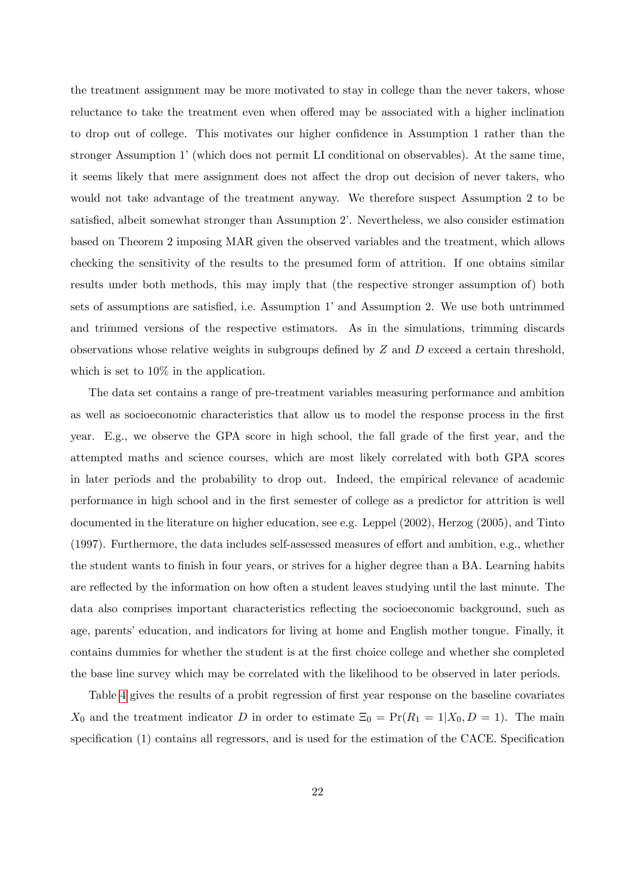the treatment assignment may be more motivated to stay in college than the never takers, whose reluctance to take the treatment even when offered may be associated with a higher inclination to drop out of college. This motivates our higher confidence in Assumption 1 rather than the stronger Assumption 1' (which does not permit LI conditional on observables). At the same time, it seems likely that mere assignment does not affect the drop out decision of never takers, who would not take advantage of the treatment anyway. We therefore suspect Assumption 2 to be satisfied, albeit somewhat stronger than Assumption 2. Nevertheless, we also consider estimation based on Theorem 2 imposing MAR given the observed variables and the treatment, which allows checking the sensitivity of the results to the presumed form of attrition. If one obtains similar results under both methods, this may imply that (the respective stronger assumption of) both sets of assumptions are satisfied, i.e. Assumption 1' and Assumption 2. We use both untrimmed and trimmed versions of the respective estimators. As in the simulations, trimming discards observations whose relative weights in subgroups defined by  $Z$  and  $D$  exceed a certain threshold, which is set to  $10\%$  in the application.

The data set contains a range of pre-treatment variables measuring performance and ambition as well as socioeconomic characteristics that allow us to model the response process in the first year. E.g., we observe the GPA score in high school, the fall grade of the first year, and the attempted maths and science courses, which are most likely correlated with both GPA scores in later periods and the probability to drop out. Indeed, the empirical relevance of academic performance in high school and in the Örst semester of college as a predictor for attrition is well documented in the literature on higher education, see e.g. Leppel (2002), Herzog (2005), and Tinto  $(1997)$ . Furthermore, the data includes self-assessed measures of effort and ambition, e.g., whether the student wants to Önish in four years, or strives for a higher degree than a BA. Learning habits are reflected by the information on how often a student leaves studying until the last minute. The data also comprises important characteristics reflecting the socioeconomic background, such as age, parents' education, and indicators for living at home and English mother tongue. Finally, it contains dummies for whether the student is at the Örst choice college and whether she completed the base line survey which may be correlated with the likelihood to be observed in later periods.

Table [4](#page-25-0) gives the results of a probit regression of first year response on the baseline covariates  $X_0$  and the treatment indicator D in order to estimate  $\Xi_0 = \Pr(R_1 = 1 | X_0, D = 1)$ . The main specification (1) contains all regressors, and is used for the estimation of the CACE. Specification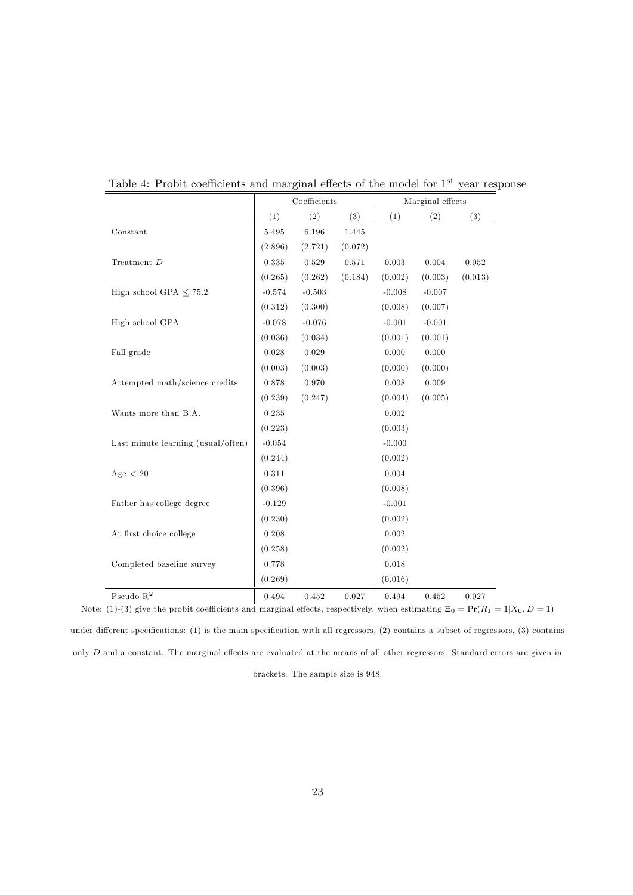|                                    |          | Coefficients |         | Marginal effects |          |         |  |
|------------------------------------|----------|--------------|---------|------------------|----------|---------|--|
|                                    | (1)      | (2)          | (3)     | (1)              | (2)      | (3)     |  |
| Constant                           | 5.495    | 6.196        | 1.445   |                  |          |         |  |
|                                    | (2.896)  | (2.721)      | (0.072) |                  |          |         |  |
| Treatment $D$                      | 0.335    | 0.529        | 0.571   | 0.003            | 0.004    | 0.052   |  |
|                                    | (0.265)  | (0.262)      | (0.184) | (0.002)          | (0.003)  | (0.013) |  |
| High school GPA $< 75.2$           | $-0.574$ | $-0.503$     |         | $-0.008$         | $-0.007$ |         |  |
|                                    | (0.312)  | (0.300)      |         | (0.008)          | (0.007)  |         |  |
| High school GPA                    | $-0.078$ | $-0.076$     |         | $-0.001$         | $-0.001$ |         |  |
|                                    | (0.036)  | (0.034)      |         | (0.001)          | (0.001)  |         |  |
| Fall grade                         | 0.028    | 0.029        |         | 0.000            | 0.000    |         |  |
|                                    | (0.003)  | (0.003)      |         | (0.000)          | (0.000)  |         |  |
| Attempted math/science credits     | 0.878    | 0.970        |         | 0.008            | 0.009    |         |  |
|                                    | (0.239)  | (0.247)      |         | (0.004)          | (0.005)  |         |  |
| Wants more than B.A.               | 0.235    |              |         | 0.002            |          |         |  |
|                                    | (0.223)  |              |         | (0.003)          |          |         |  |
| Last minute learning (usual/often) | $-0.054$ |              |         | $-0.000$         |          |         |  |
|                                    | (0.244)  |              |         | (0.002)          |          |         |  |
| Age $< 20$                         | 0.311    |              |         | 0.004            |          |         |  |
|                                    | (0.396)  |              |         | (0.008)          |          |         |  |
| Father has college degree          | $-0.129$ |              |         | $-0.001$         |          |         |  |
|                                    | (0.230)  |              |         | (0.002)          |          |         |  |
| At first choice college            | 0.208    |              |         | 0.002            |          |         |  |
|                                    | (0.258)  |              |         | (0.002)          |          |         |  |
| Completed baseline survey          | 0.778    |              |         | 0.018            |          |         |  |
|                                    | (0.269)  |              |         | (0.016)          |          |         |  |
| Pseudo $\mathbf{R}^2$              | 0.494    | 0.452        | 0.027   | 0.494            | 0.452    | 0.027   |  |
|                                    |          |              |         |                  |          |         |  |

<span id="page-25-0"></span>Table 4: Probit coefficients and marginal effects of the model for  $1<sup>st</sup>$  year response

Note:  $(1)-(3)$  give the probit coefficients and marginal effects, respectively, when estimating  $\Xi_0 = \Pr(R_1 = 1|X_0, D = 1)$ under different specifications: (1) is the main specification with all regressors, (2) contains a subset of regressors, (3) contains only  $D$  and a constant. The marginal effects are evaluated at the means of all other regressors. Standard errors are given in

brackets. The sample size is 948.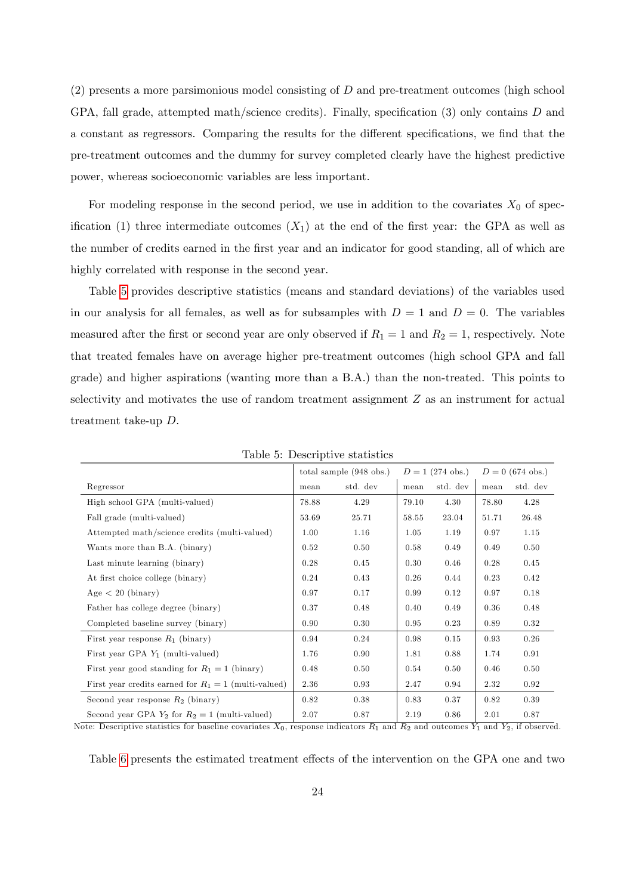(2) presents a more parsimonious model consisting of D and pre-treatment outcomes (high school GPA, fall grade, attempted math/science credits). Finally, specification (3) only contains  $D$  and a constant as regressors. Comparing the results for the different specifications, we find that the pre-treatment outcomes and the dummy for survey completed clearly have the highest predictive power, whereas socioeconomic variables are less important.

For modeling response in the second period, we use in addition to the covariates  $X_0$  of specification (1) three intermediate outcomes  $(X_1)$  at the end of the first year: the GPA as well as the number of credits earned in the first year and an indicator for good standing, all of which are highly correlated with response in the second year.

Table [5](#page-26-0) provides descriptive statistics (means and standard deviations) of the variables used in our analysis for all females, as well as for subsamples with  $D = 1$  and  $D = 0$ . The variables measured after the first or second year are only observed if  $R_1 = 1$  and  $R_2 = 1$ , respectively. Note that treated females have on average higher pre-treatment outcomes (high school GPA and fall grade) and higher aspirations (wanting more than a B.A.) than the non-treated. This points to selectivity and motivates the use of random treatment assignment  $Z$  as an instrument for actual treatment take-up D.

|                                                        |       | total sample $(948 \text{ obs.})$ |       | $D = 1$ (274 obs.) |       | $D = 0$ (674 obs.) |
|--------------------------------------------------------|-------|-----------------------------------|-------|--------------------|-------|--------------------|
| Regressor                                              | mean  | std. dev                          | mean  | std. dev           | mean  | std. dev           |
| High school GPA (multi-valued)                         | 78.88 | 4.29                              | 79.10 | 4.30               | 78.80 | 4.28               |
| Fall grade (multi-valued)                              | 53.69 | 25.71                             | 58.55 | 23.04              | 51.71 | 26.48              |
| Attempted math/science credits (multi-valued)          | 1.00  | 1.16                              | 1.05  | 1.19               | 0.97  | 1.15               |
| Wants more than B.A. (binary)                          | 0.52  | 0.50                              | 0.58  | 0.49               | 0.49  | 0.50               |
| Last minute learning (binary)                          | 0.28  | 0.45                              | 0.30  | 0.46               | 0.28  | 0.45               |
| At first choice college (binary)                       | 0.24  | 0.43                              | 0.26  | 0.44               | 0.23  | 0.42               |
| $Age < 20$ (binary)                                    | 0.97  | 0.17                              | 0.99  | 0.12               | 0.97  | 0.18               |
| Father has college degree (binary)                     | 0.37  | 0.48                              | 0.40  | 0.49               | 0.36  | 0.48               |
| Completed baseline survey (binary)                     | 0.90  | 0.30                              | 0.95  | 0.23               | 0.89  | 0.32               |
| First year response $R_1$ (binary)                     | 0.94  | 0.24                              | 0.98  | 0.15               | 0.93  | 0.26               |
| First year GPA $Y_1$ (multi-valued)                    | 1.76  | 0.90                              | 1.81  | 0.88               | 1.74  | 0.91               |
| First year good standing for $R_1 = 1$ (binary)        | 0.48  | 0.50                              | 0.54  | 0.50               | 0.46  | 0.50               |
| First year credits earned for $R_1 = 1$ (multi-valued) | 2.36  | 0.93                              | 2.47  | 0.94               | 2.32  | 0.92               |
| Second year response $R_2$ (binary)                    | 0.82  | 0.38                              | 0.83  | 0.37               | 0.82  | 0.39               |
| Second year GPA $Y_2$ for $R_2 = 1$ (multi-valued)     | 2.07  | 0.87                              | 2.19  | 0.86               | 2.01  | 0.87               |

<span id="page-26-0"></span>Table 5: Descriptive statistics

Note: Descriptive statistics for baseline covariates  $X_0$ , response indicators  $R_1$  and  $R_2$  and outcomes  $Y_1$  and  $Y_2$ , if observed.

Table [6](#page-29-0) presents the estimated treatment effects of the intervention on the GPA one and two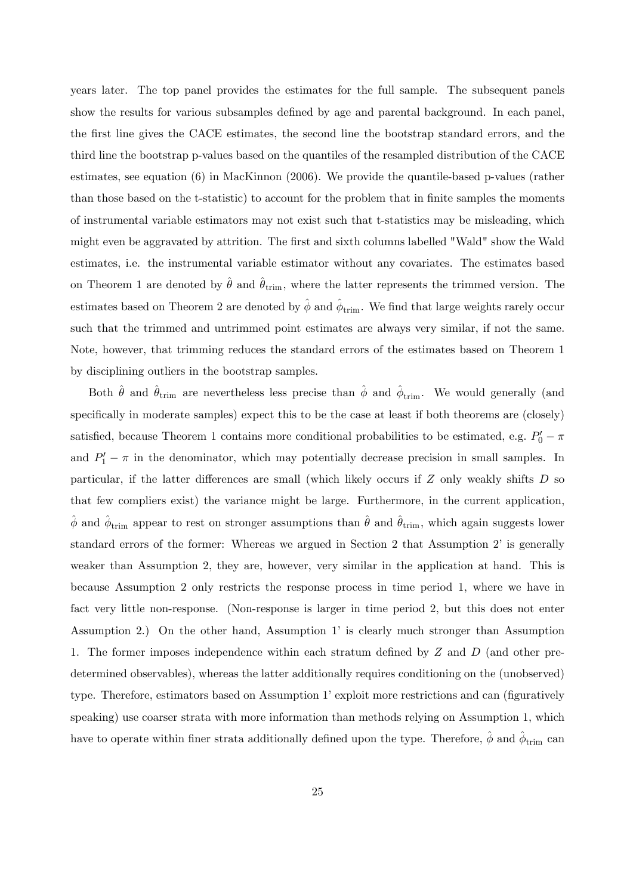years later. The top panel provides the estimates for the full sample. The subsequent panels show the results for various subsamples defined by age and parental background. In each panel, the first line gives the CACE estimates, the second line the bootstrap standard errors, and the third line the bootstrap p-values based on the quantiles of the resampled distribution of the CACE estimates, see equation (6) in MacKinnon (2006). We provide the quantile-based p-values (rather than those based on the t-statistic) to account for the problem that in Önite samples the moments of instrumental variable estimators may not exist such that t-statistics may be misleading, which might even be aggravated by attrition. The first and sixth columns labelled "Wald" show the Wald estimates, i.e. the instrumental variable estimator without any covariates. The estimates based on Theorem 1 are denoted by  $\hat{\theta}$  and  $\hat{\theta}_{\text{trim}}$ , where the latter represents the trimmed version. The estimates based on Theorem 2 are denoted by  $\hat{\phi}$  and  $\hat{\phi}_{\text{trim}}$ . We find that large weights rarely occur such that the trimmed and untrimmed point estimates are always very similar, if not the same. Note, however, that trimming reduces the standard errors of the estimates based on Theorem 1 by disciplining outliers in the bootstrap samples.

Both  $\hat{\theta}$  and  $\hat{\theta}_{\text{trim}}$  are nevertheless less precise than  $\hat{\phi}$  and  $\hat{\phi}_{\text{trim}}$ . We would generally (and specifically in moderate samples) expect this to be the case at least if both theorems are (closely) satisfied, because Theorem 1 contains more conditional probabilities to be estimated, e.g.  $P'_0 - \pi$ and  $P'_1 - \pi$  in the denominator, which may potentially decrease precision in small samples. In particular, if the latter differences are small (which likely occurs if  $Z$  only weakly shifts  $D$  so that few compliers exist) the variance might be large. Furthermore, in the current application,  $\hat{\phi}$  and  $\hat{\phi}_{\text{trim}}$  appear to rest on stronger assumptions than  $\hat{\theta}$  and  $\hat{\theta}_{\text{trim}}$ , which again suggests lower standard errors of the former: Whereas we argued in Section 2 that Assumption 2' is generally weaker than Assumption 2, they are, however, very similar in the application at hand. This is because Assumption 2 only restricts the response process in time period 1, where we have in fact very little non-response. (Non-response is larger in time period 2, but this does not enter Assumption 2.) On the other hand, Assumption 1' is clearly much stronger than Assumption 1. The former imposes independence within each stratum defined by  $Z$  and  $D$  (and other predetermined observables), whereas the latter additionally requires conditioning on the (unobserved) type. Therefore, estimators based on Assumption 1' exploit more restrictions and can (figuratively speaking) use coarser strata with more information than methods relying on Assumption 1, which have to operate within finer strata additionally defined upon the type. Therefore,  $\hat{\phi}$  and  $\hat{\phi}_{\text{trim}}$  can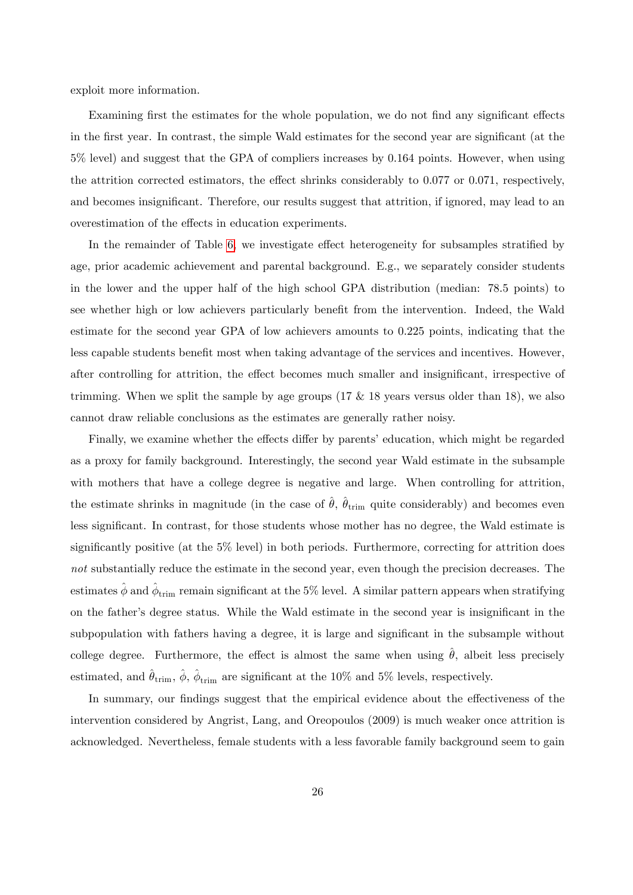exploit more information.

Examining first the estimates for the whole population, we do not find any significant effects in the first year. In contrast, the simple Wald estimates for the second year are significant (at the 5% level) and suggest that the GPA of compliers increases by 0.164 points. However, when using the attrition corrected estimators, the effect shrinks considerably to  $0.077$  or  $0.071$ , respectively, and becomes insignificant. Therefore, our results suggest that attrition, if ignored, may lead to an overestimation of the effects in education experiments.

In the remainder of Table [6,](#page-29-0) we investigate effect heterogeneity for subsamples stratified by age, prior academic achievement and parental background. E.g., we separately consider students in the lower and the upper half of the high school GPA distribution (median: 78.5 points) to see whether high or low achievers particularly benefit from the intervention. Indeed, the Wald estimate for the second year GPA of low achievers amounts to 0.225 points, indicating that the less capable students benefit most when taking advantage of the services and incentives. However, after controlling for attrition, the effect becomes much smaller and insignificant, irrespective of trimming. When we split the sample by age groups  $(17 \& 18 \text{ years}$  versus older than 18), we also cannot draw reliable conclusions as the estimates are generally rather noisy.

Finally, we examine whether the effects differ by parents' education, which might be regarded as a proxy for family background. Interestingly, the second year Wald estimate in the subsample with mothers that have a college degree is negative and large. When controlling for attrition, the estimate shrinks in magnitude (in the case of  $\hat{\theta}$ ,  $\hat{\theta}_{\text{trim}}$  quite considerably) and becomes even less significant. In contrast, for those students whose mother has no degree, the Wald estimate is significantly positive (at the  $5\%$  level) in both periods. Furthermore, correcting for attrition does not substantially reduce the estimate in the second year, even though the precision decreases. The estimates  $\hat{\phi}$  and  $\hat{\phi}_{\text{trim}}$  remain significant at the 5% level. A similar pattern appears when stratifying on the father's degree status. While the Wald estimate in the second year is insignificant in the subpopulation with fathers having a degree, it is large and significant in the subsample without college degree. Furthermore, the effect is almost the same when using  $\hat{\theta}$ , albeit less precisely estimated, and  $\hat{\theta}_{\text{trim}}, \hat{\phi}, \hat{\phi}_{\text{trim}}$  are significant at the 10% and 5% levels, respectively.

In summary, our findings suggest that the empirical evidence about the effectiveness of the intervention considered by Angrist, Lang, and Oreopoulos (2009) is much weaker once attrition is acknowledged. Nevertheless, female students with a less favorable family background seem to gain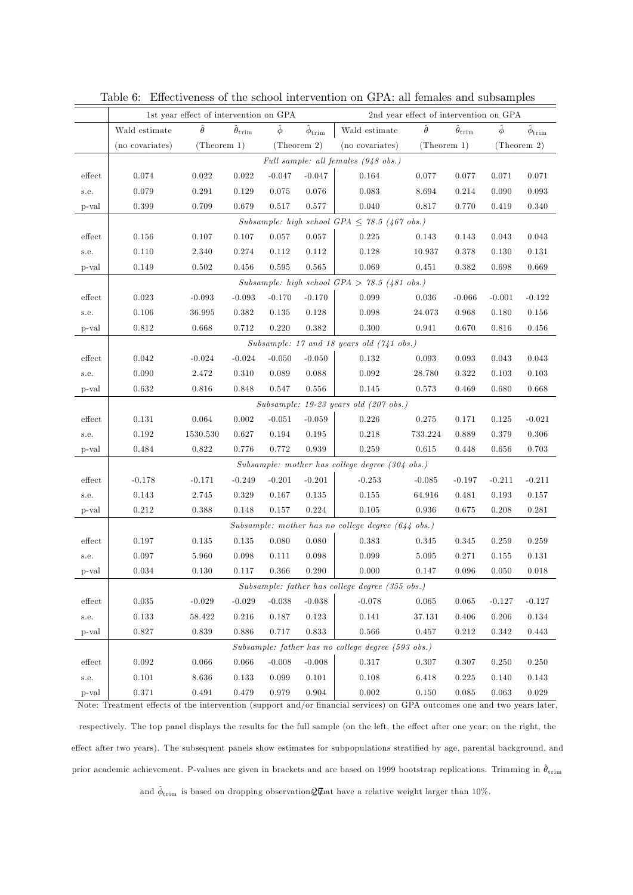|                  | 1st year effect of intervention on GPA                                                                                   |                |                           |              |                            | 2nd year effect of intervention on GPA                       |                |                           |              |                         |
|------------------|--------------------------------------------------------------------------------------------------------------------------|----------------|---------------------------|--------------|----------------------------|--------------------------------------------------------------|----------------|---------------------------|--------------|-------------------------|
|                  | Wald estimate                                                                                                            | $\hat{\theta}$ | $\hat{\theta}_{\rm trim}$ | $\hat{\phi}$ | $\hat{\phi}_{\text{trim}}$ | Wald estimate                                                | $\hat{\theta}$ | $\hat{\theta}_{\rm trim}$ | $\hat{\phi}$ | $\hat{\phi}_{\rm trim}$ |
|                  | (no covariates)                                                                                                          | (Theorem 1)    |                           |              | (Theorem 2)                | (no covariates)                                              | (Theorem 1)    |                           |              | (Theorem 2)             |
|                  | Full sample: all females (948 obs.)                                                                                      |                |                           |              |                            |                                                              |                |                           |              |                         |
| effect           | 0.074                                                                                                                    | 0.022          | 0.022                     | $-0.047$     | $-0.047$                   | 0.164                                                        | 0.077          | 0.077                     | 0.071        | 0.071                   |
| s.e.             | 0.079                                                                                                                    | 0.291          | 0.129                     | 0.075        | 0.076                      | 0.083                                                        | 8.694          | 0.214                     | 0.090        | 0.093                   |
| p-val            | 0.399                                                                                                                    | 0.709          | 0.679                     | 0.517        | 0.577                      | 0.040                                                        | 0.817          | 0.770                     | 0.419        | 0.340                   |
|                  |                                                                                                                          |                |                           |              |                            | Subsample: high school GPA $\leq$ 78.5 (467 obs.)            |                |                           |              |                         |
| effect           | 0.156                                                                                                                    | 0.107          | 0.107                     | 0.057        | 0.057                      | 0.225                                                        | 0.143          | 0.143                     | 0.043        | 0.043                   |
| s.e.             | 0.110                                                                                                                    | 2.340          | 0.274                     | 0.112        | 0.112                      | 0.128                                                        | 10.937         | 0.378                     | 0.130        | 0.131                   |
| p-val            | 0.149                                                                                                                    | 0.502          | 0.456                     | 0.595        | 0.565                      | 0.069                                                        | 0.451          | 0.382                     | 0.698        | 0.669                   |
|                  |                                                                                                                          |                |                           |              |                            | Subsample: high school GPA > 78.5 (481 obs.)                 |                |                           |              |                         |
| effect           | 0.023                                                                                                                    | $-0.093$       | $-0.093$                  | $-0.170$     | $-0.170$                   | 0.099                                                        | 0.036          | $-0.066$                  | $-0.001$     | $-0.122$                |
| s.e.             | 0.106                                                                                                                    | 36.995         | 0.382                     | 0.135        | 0.128                      | 0.098                                                        | 24.073         | 0.968                     | 0.180        | 0.156                   |
| p-val            | 0.812                                                                                                                    | 0.668          | 0.712                     | 0.220        | 0.382                      | 0.300                                                        | 0.941          | 0.670                     | 0.816        | 0.456                   |
|                  |                                                                                                                          |                |                           |              |                            | Subsample: 17 and 18 years old $(741$ obs.)                  |                |                           |              |                         |
| $_{\rm{effect}}$ | 0.042                                                                                                                    | $-0.024$       | $-0.024$                  | $-0.050$     | $-0.050$                   | 0.132                                                        | 0.093          | 0.093                     | 0.043        | 0.043                   |
| s.e.             | 0.090                                                                                                                    | 2.472          | 0.310                     | 0.089        | 0.088                      | 0.092                                                        | 28.780         | 0.322                     | 0.103        | 0.103                   |
| p-val            | 0.632                                                                                                                    | 0.816          | 0.848                     | 0.547        | 0.556                      | 0.145                                                        | 0.573          | 0.469                     | 0.680        | 0.668                   |
|                  |                                                                                                                          |                |                           |              |                            | Subsample: $19-23$ years old $(207$ obs.)                    |                |                           |              |                         |
| effect           | 0.131                                                                                                                    | 0.064          | 0.002                     | $-0.051$     | $-0.059$                   | 0.226                                                        | 0.275          | 0.171                     | 0.125        | $-0.021$                |
| s.e.             | 0.192                                                                                                                    | 1530.530       | 0.627                     | 0.194        | 0.195                      | 0.218                                                        | 733.224        | 0.889                     | 0.379        | 0.306                   |
| p-val            | 0.484                                                                                                                    | 0.822          | 0.776                     | 0.772        | 0.939                      | 0.259                                                        | 0.615          | 0.448                     | 0.656        | $0.703\,$               |
|                  |                                                                                                                          |                |                           |              |                            | Subsample: mother has college degree $(304 \text{ obs.})$    |                |                           |              |                         |
| effect           | $-0.178$                                                                                                                 | $-0.171$       | $-0.249$                  | $-0.201$     | $-0.201$                   | $-0.253$                                                     | $-0.085$       | $-0.197$                  | $-0.211$     | $-0.211$                |
| s.e.             | 0.143                                                                                                                    | 2.745          | 0.329                     | 0.167        | 0.135                      | 0.155                                                        | 64.916         | 0.481                     | 0.193        | 0.157                   |
| p-val            | 0.212                                                                                                                    | 0.388          | 0.148                     | 0.157        | 0.224                      | 0.105                                                        | 0.936          | 0.675                     | 0.208        | 0.281                   |
|                  |                                                                                                                          |                |                           |              |                            | Subsample: mother has no college degree $(644 \text{ obs.})$ |                |                           |              |                         |
| effect           | 0.197                                                                                                                    | 0.135          | 0.135                     | 0.080        | 0.080                      | 0.383                                                        | 0.345          | 0.345                     | 0.259        | 0.259                   |
| s.e.             | 0.097                                                                                                                    | 5.960          | 0.098                     | 0.111        | 0.098                      | 0.099                                                        | 5.095          | 0.271                     | 0.155        | 0.131                   |
| p-val            | 0.034                                                                                                                    | 0.130          | 0.117                     | 0.366        | 0.290                      | 0.000                                                        | 0.147          | 0.096                     | 0.050        | 0.018                   |
|                  |                                                                                                                          |                |                           |              |                            | Subsample: father has college degree (355 obs.)              |                |                           |              |                         |
| $_{\rm{effect}}$ | 0.035                                                                                                                    | $-0.029$       | $-0.029$                  | $-0.038$     | $-0.038$                   | $-0.078$                                                     | 0.065          | 0.065                     | $-0.127$     | $-0.127$                |
| s.e.             | 0.133                                                                                                                    | 58.422         | 0.216                     | 0.187        | 0.123                      | 0.141                                                        | 37.131         | 0.406                     | 0.206        | 0.134                   |
| p-val            | 0.827                                                                                                                    | 0.839          | 0.886                     | 0.717        | 0.833                      | 0.566                                                        | 0.457          | 0.212                     | 0.342        | 0.443                   |
|                  |                                                                                                                          |                |                           |              |                            | Subsample: father has no college degree (593 obs.)           |                |                           |              |                         |
| effect           | 0.092                                                                                                                    | 0.066          | 0.066                     | $-0.008$     | $-0.008$                   | 0.317                                                        | 0.307          | 0.307                     | 0.250        | 0.250                   |
| s.e.             | 0.101                                                                                                                    | 8.636          | 0.133                     | 0.099        | 0.101                      | 0.108                                                        | 6.418          | 0.225                     | 0.140        | 0.143                   |
| p-val            | 0.371                                                                                                                    | 0.491          | 0.479                     | 0.979        | 0.904                      | $\rm 0.002$                                                  | 0.150          | 0.085                     | 0.063        | 0.029                   |
|                  | Note: Treatment effects of the intervention (support and/or financial services) on GPA outcomes one and two years later, |                |                           |              |                            |                                                              |                |                           |              |                         |

<span id="page-29-0"></span>Table 6: Effectiveness of the school intervention on GPA: all females and subsamples

respectively. The top panel displays the results for the full sample (on the left, the effect after one year; on the right, the effect after two years). The subsequent panels show estimates for subpopulations stratified by age, parental background, and prior academic achievement. P-values are given in brackets and are based on 1999 bootstrap replications. Trimming in  $\hat{\theta}_{\text{trim}}$ and  $\hat{\phi}_{\text{trim}}$  is based on dropping observation $\mathcal{Q}\bar{\theta}$  at have a relative weight larger than 10%.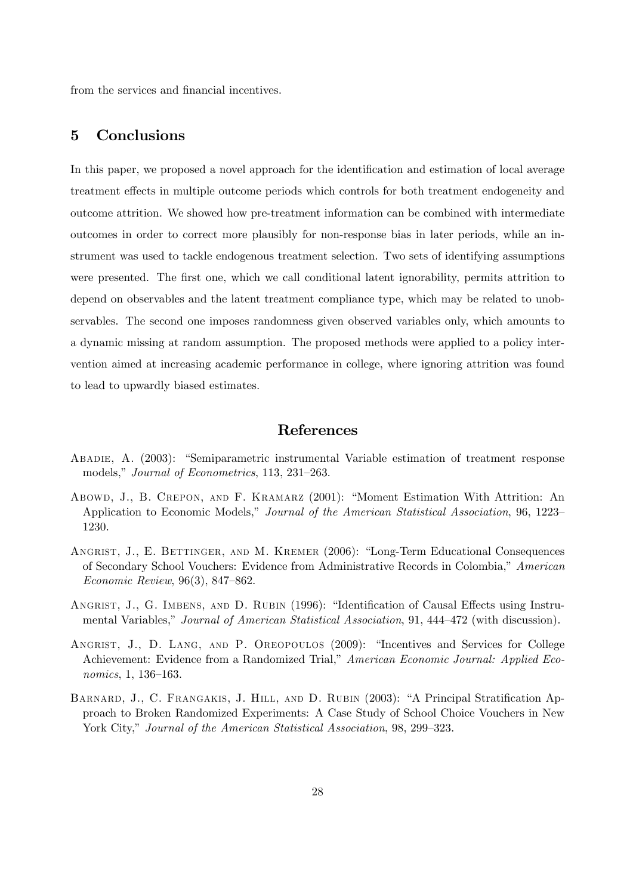from the services and financial incentives.

# <span id="page-30-0"></span>5 Conclusions

In this paper, we proposed a novel approach for the identification and estimation of local average treatment effects in multiple outcome periods which controls for both treatment endogeneity and outcome attrition. We showed how pre-treatment information can be combined with intermediate outcomes in order to correct more plausibly for non-response bias in later periods, while an instrument was used to tackle endogenous treatment selection. Two sets of identifying assumptions were presented. The first one, which we call conditional latent ignorability, permits attrition to depend on observables and the latent treatment compliance type, which may be related to unobservables. The second one imposes randomness given observed variables only, which amounts to a dynamic missing at random assumption. The proposed methods were applied to a policy intervention aimed at increasing academic performance in college, where ignoring attrition was found to lead to upwardly biased estimates.

### References

- ABADIE, A. (2003): "Semiparametric instrumental Variable estimation of treatment response models," Journal of Econometrics, 113, 231-263.
- ABOWD, J., B. CREPON, AND F. KRAMARZ (2001): "Moment Estimation With Attrition: An Application to Economic Models," Journal of the American Statistical Association, 96, 1223-1230.
- ANGRIST, J., E. BETTINGER, AND M. KREMER (2006): "Long-Term Educational Consequences of Secondary School Vouchers: Evidence from Administrative Records in Colombia," American Economic Review,  $96(3)$ , 847–862.
- ANGRIST, J., G. IMBENS, AND D. RUBIN (1996): "Identification of Causal Effects using Instrumental Variables," Journal of American Statistical Association, 91, 444-472 (with discussion).
- ANGRIST, J., D. LANG, AND P. OREOPOULOS (2009): "Incentives and Services for College Achievement: Evidence from a Randomized Trial," American Economic Journal: Applied Eco $nonics, 1, 136–163.$
- BARNARD, J., C. FRANGAKIS, J. HILL, AND D. RUBIN (2003): "A Principal Stratification Approach to Broken Randomized Experiments: A Case Study of School Choice Vouchers in New York City," Journal of the American Statistical Association, 98, 299-323.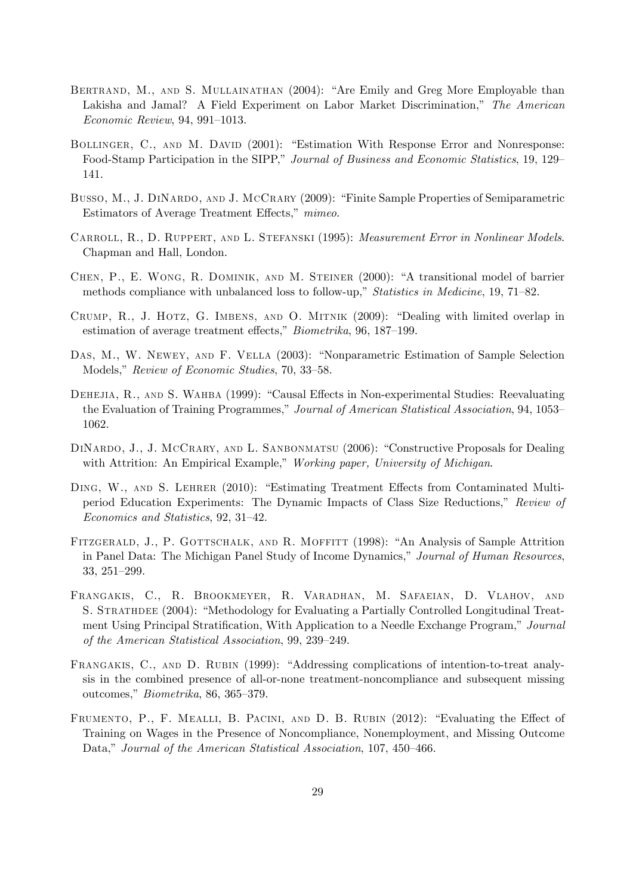- BERTRAND, M., AND S. MULLAINATHAN (2004): "Are Emily and Greg More Employable than Lakisha and Jamal? A Field Experiment on Labor Market Discrimination," The American  $Economic Review, 94, 991-1013.$
- BOLLINGER, C., AND M. DAVID (2001): "Estimation With Response Error and Nonresponse: Food-Stamp Participation in the SIPP," Journal of Business and Economic Statistics, 19, 129– 141.
- BUSSO, M., J. DINARDO, AND J. MCCRARY (2009): "Finite Sample Properties of Semiparametric Estimators of Average Treatment Effects,<sup>n</sup> mimeo.
- Carroll, R., D. Ruppert, and L. Stefanski (1995): Measurement Error in Nonlinear Models. Chapman and Hall, London.
- CHEN, P., E. WONG, R. DOMINIK, AND M. STEINER (2000): "A transitional model of barrier methods compliance with unbalanced loss to follow-up," Statistics in Medicine, 19, 71-82.
- CRUMP, R., J. HOTZ, G. IMBENS, AND O. MITNIK  $(2009)$ : "Dealing with limited overlap in estimation of average treatment effects,"  $Biometrika$ , 96, 187–199.
- DAS, M., W. NEWEY, AND F. VELLA (2003): "Nonparametric Estimation of Sample Selection Models," Review of Economic Studies, 70, 33-58.
- DEHEJIA, R., AND S. WAHBA (1999): "Causal Effects in Non-experimental Studies: Reevaluating the Evaluation of Training Programmes," Journal of American Statistical Association, 94, 1053– 1062.
- DINARDO, J., J. MCCRARY, AND L. SANBONMATSU (2006): "Constructive Proposals for Dealing with Attrition: An Empirical Example," Working paper, University of Michigan.
- DING, W., AND S. LEHRER (2010): "Estimating Treatment Effects from Contaminated Multiperiod Education Experiments: The Dynamic Impacts of Class Size Reductions," Review of Economics and Statistics, 92, 31-42.
- FITZGERALD, J., P. GOTTSCHALK, AND R. MOFFITT (1998): "An Analysis of Sample Attrition in Panel Data: The Michigan Panel Study of Income Dynamics," Journal of Human Resources, 33, 251-299.
- Frangakis, C., R. Brookmeyer, R. Varadhan, M. Safaeian, D. Vlahov, and S. STRATHDEE (2004): "Methodology for Evaluating a Partially Controlled Longitudinal Treatment Using Principal Stratification, With Application to a Needle Exchange Program," Journal of the American Statistical Association, 99, 239–249.
- FRANGAKIS, C., AND D. RUBIN (1999): "Addressing complications of intention-to-treat analysis in the combined presence of all-or-none treatment-noncompliance and subsequent missing outcomes,"  $Biometrika$ , 86, 365–379.
- FRUMENTO, P., F. MEALLI, B. PACINI, AND D. B. RUBIN (2012): "Evaluating the Effect of Training on Wages in the Presence of Noncompliance, Nonemployment, and Missing Outcome Data," Journal of the American Statistical Association, 107, 450–466.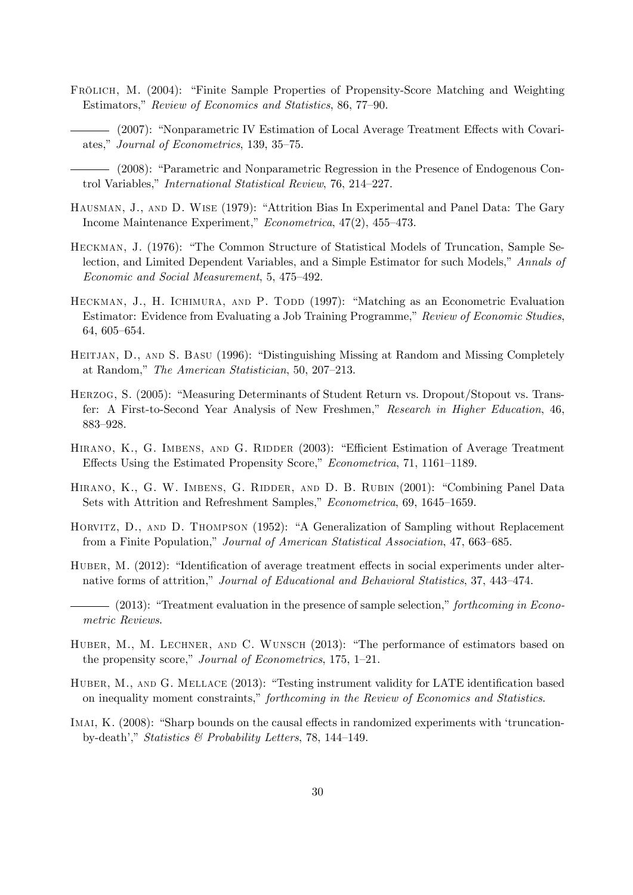- FRÖLICH, M. (2004): "Finite Sample Properties of Propensity-Score Matching and Weighting Estimators," Review of Economics and Statistics, 86, 77-90.
	- (2007): "Nonparametric IV Estimation of Local Average Treatment Effects with Covariates," Journal of Econometrics, 139, 35–75.

(2008): "Parametric and Nonparametric Regression in the Presence of Endogenous Control Variables," International Statistical Review, 76, 214-227.

- HAUSMAN, J., AND D. WISE (1979): "Attrition Bias In Experimental and Panel Data: The Gary Income Maintenance Experiment,"  $Econometrica$ , 47(2), 455-473.
- HECKMAN, J. (1976): "The Common Structure of Statistical Models of Truncation, Sample Selection, and Limited Dependent Variables, and a Simple Estimator for such Models," Annals of Economic and Social Measurement, 5, 475–492.
- HECKMAN, J., H. ICHIMURA, AND P. TODD (1997): "Matching as an Econometric Evaluation Estimator: Evidence from Evaluating a Job Training Programme," Review of Economic Studies, 64, 605-654.
- HEITJAN, D., AND S. BASU (1996): "Distinguishing Missing at Random and Missing Completely at Random," The American Statistician, 50, 207-213.
- HERZOG, S. (2005): "Measuring Determinants of Student Return vs. Dropout/Stopout vs. Transfer: A First-to-Second Year Analysis of New Freshmen," Research in Higher Education, 46, 883-928.
- HIRANO, K., G. IMBENS, AND G. RIDDER (2003): "Efficient Estimation of Average Treatment Effects Using the Estimated Propensity Score," Econometrica, 71, 1161–1189.
- HIRANO, K., G. W. IMBENS, G. RIDDER, AND D. B. RUBIN (2001): "Combining Panel Data Sets with Attrition and Refreshment Samples," Econometrica, 69, 1645–1659.
- HORVITZ, D., AND D. THOMPSON (1952): "A Generalization of Sampling without Replacement from a Finite Population," Journal of American Statistical Association, 47, 663–685.
- HUBER, M. (2012): "Identification of average treatment effects in social experiments under alternative forms of attrition," Journal of Educational and Behavioral Statistics, 37, 443–474.
- $-$  (2013): "Treatment evaluation in the presence of sample selection," forthcoming in Econometric Reviews.
- HUBER, M., M. LECHNER, AND C. WUNSCH (2013): "The performance of estimators based on the propensity score," Journal of Econometrics, 175, 1–21.
- HUBER, M., AND G. MELLACE (2013): "Testing instrument validity for LATE identification based on inequality moment constraints," forthcoming in the Review of Economics and Statistics.
- IMAI, K. (2008): "Sharp bounds on the causal effects in randomized experiments with 'truncationby-death'," Statistics & Probability Letters, 78, 144–149.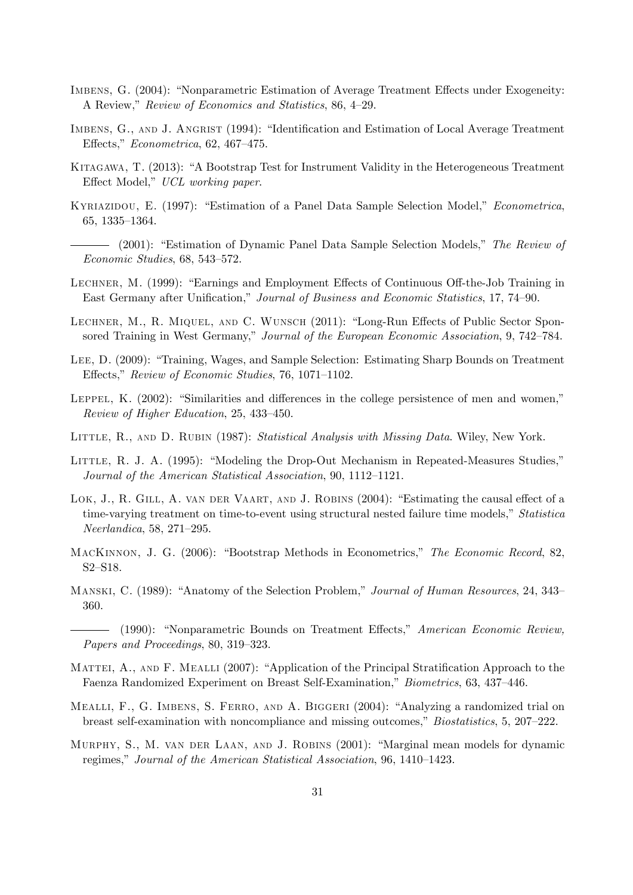- IMBENS, G. (2004): "Nonparametric Estimation of Average Treatment Effects under Exogeneity: A Review," Review of Economics and Statistics, 86, 4–29.
- IMBENS, G., AND J. ANGRIST (1994): "Identification and Estimation of Local Average Treatment Effects,"  $Econometrica$ , 62, 467–475.
- KITAGAWA, T. (2013): "A Bootstrap Test for Instrument Validity in the Heterogeneous Treatment Effect Model," UCL working paper.
- KYRIAZIDOU, E. (1997): "Estimation of a Panel Data Sample Selection Model," Econometrica, 65, 1335-1364.
- (2001): "Estimation of Dynamic Panel Data Sample Selection Models," The Review of  $Economic Studies, 68, 543–572.$
- LECHNER, M. (1999): "Earnings and Employment Effects of Continuous Off-the-Job Training in East Germany after Unification," Journal of Business and Economic Statistics, 17, 74–90.
- LECHNER, M., R. MIQUEL, AND C. WUNSCH (2011): "Long-Run Effects of Public Sector Sponsored Training in West Germany," Journal of the European Economic Association, 9, 742–784.
- LEE, D. (2009): "Training, Wages, and Sample Selection: Estimating Sharp Bounds on Treatment Effects," Review of Economic Studies, 76, 1071–1102.
- LEPPEL, K.  $(2002)$ : "Similarities and differences in the college persistence of men and women,"  $Review of Higher Education, 25, 433–450.$
- LITTLE, R., AND D. RUBIN (1987): Statistical Analysis with Missing Data. Wiley, New York.
- LITTLE, R. J. A. (1995): "Modeling the Drop-Out Mechanism in Repeated-Measures Studies," Journal of the American Statistical Association, 90, 1112-1121.
- LOK, J., R. GILL, A. VAN DER VAART, AND J. ROBINS (2004): "Estimating the causal effect of a time-varying treatment on time-to-event using structural nested failure time models," Statistica  $Neerlandica$ , 58, 271-295.
- MACKINNON, J. G. (2006): "Bootstrap Methods in Econometrics," The Economic Record, 82,  $S2-S18.$
- MANSKI, C. (1989): "Anatomy of the Selection Problem," Journal of Human Resources, 24, 343– 360.
	- $-$  (1990): "Nonparametric Bounds on Treatment Effects," American Economic Review, Papers and Proceedings, 80, 319–323.
- MATTEI, A., AND F. MEALLI (2007): "Application of the Principal Stratification Approach to the Faenza Randomized Experiment on Breast Self-Examination," Biometrics, 63, 437-446.
- MEALLI, F., G. IMBENS, S. FERRO, AND A. BIGGERI  $(2004)$ : "Analyzing a randomized trial on breast self-examination with noncompliance and missing outcomes," *Biostatistics*, 5, 207–222.
- MURPHY, S., M. VAN DER LAAN, AND J. ROBINS (2001): "Marginal mean models for dynamic regimes," Journal of the American Statistical Association, 96, 1410–1423.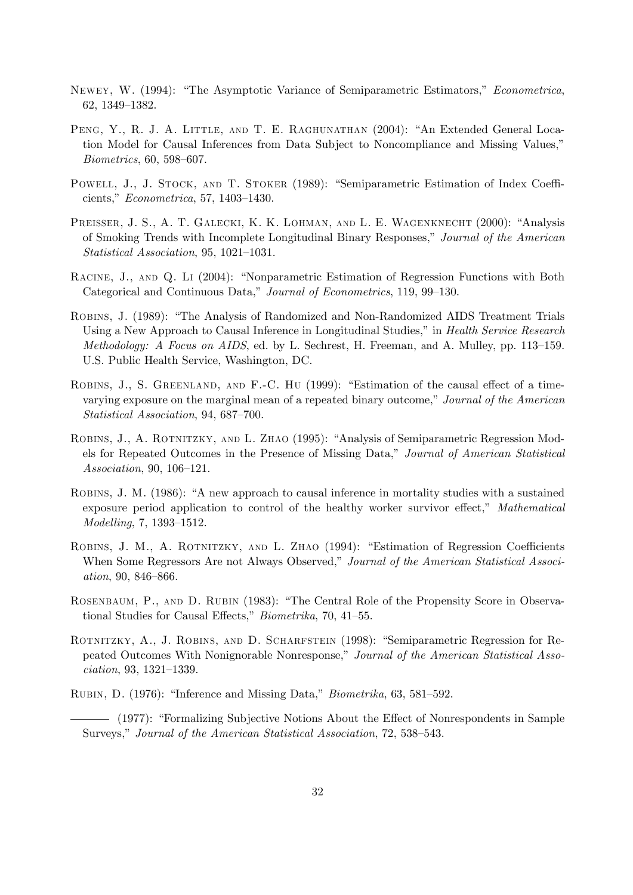- NEWEY, W. (1994): "The Asymptotic Variance of Semiparametric Estimators," Econometrica, 62, 1349-1382.
- PENG, Y., R. J. A. LITTLE, AND T. E. RAGHUNATHAN (2004): "An Extended General Location Model for Causal Inferences from Data Subject to Noncompliance and Missing Values,"  $Biometrics, 60, 598–607.$
- POWELL, J., J. STOCK, AND T. STOKER (1989): "Semiparametric Estimation of Index Coefficients,"  $Econometrica$ , 57, 1403-1430.
- PREISSER, J. S., A. T. GALECKI, K. K. LOHMAN, AND L. E. WAGENKNECHT (2000): "Analysis of Smoking Trends with Incomplete Longitudinal Binary Responses," Journal of the American  $Statistical Association, 95, 1021-1031.$
- RACINE, J., AND Q. LI (2004): "Nonparametric Estimation of Regression Functions with Both Categorical and Continuous Data," Journal of Econometrics, 119, 99–130.
- ROBINS, J. (1989): "The Analysis of Randomized and Non-Randomized AIDS Treatment Trials Using a New Approach to Causal Inference in Longitudinal Studies," in Health Service Research *Methodology: A Focus on AIDS*, ed. by L. Sechrest, H. Freeman, and A. Mulley, pp. 113–159. U.S. Public Health Service, Washington, DC.
- ROBINS, J., S. GREENLAND, AND F.-C. HU (1999): "Estimation of the causal effect of a timevarying exposure on the marginal mean of a repeated binary outcome," Journal of the American Statistical Association, 94, 687-700.
- ROBINS, J., A. ROTNITZKY, AND L. ZHAO (1995): "Analysis of Semiparametric Regression Models for Repeated Outcomes in the Presence of Missing Data," Journal of American Statistical Association, 90, 106–121.
- ROBINS, J. M. (1986): "A new approach to causal inference in mortality studies with a sustained exposure period application to control of the healthy worker survivor effect," Mathematical  $Modelling, 7, 1393–1512.$
- ROBINS, J. M., A. ROTNITZKY, AND L. ZHAO (1994): "Estimation of Regression Coefficients When Some Regressors Are not Always Observed," Journal of the American Statistical Associ- $ation, 90, 846 - 866.$
- ROSENBAUM, P., AND D. RUBIN (1983): "The Central Role of the Propensity Score in Observational Studies for Causal Effects,"  $Biometrika$ , 70, 41–55.
- ROTNITZKY, A., J. ROBINS, AND D. SCHARFSTEIN (1998): "Semiparametric Regression for Repeated Outcomes With Nonignorable Nonresponse," Journal of the American Statistical Asso $ciation, 93, 1321 - 1339.$
- RUBIN, D.  $(1976)$ : "Inference and Missing Data," *Biometrika*, 63, 581–592.
- (1977): "Formalizing Subjective Notions About the Effect of Nonrespondents in Sample Surveys," Journal of the American Statistical Association, 72, 538–543.